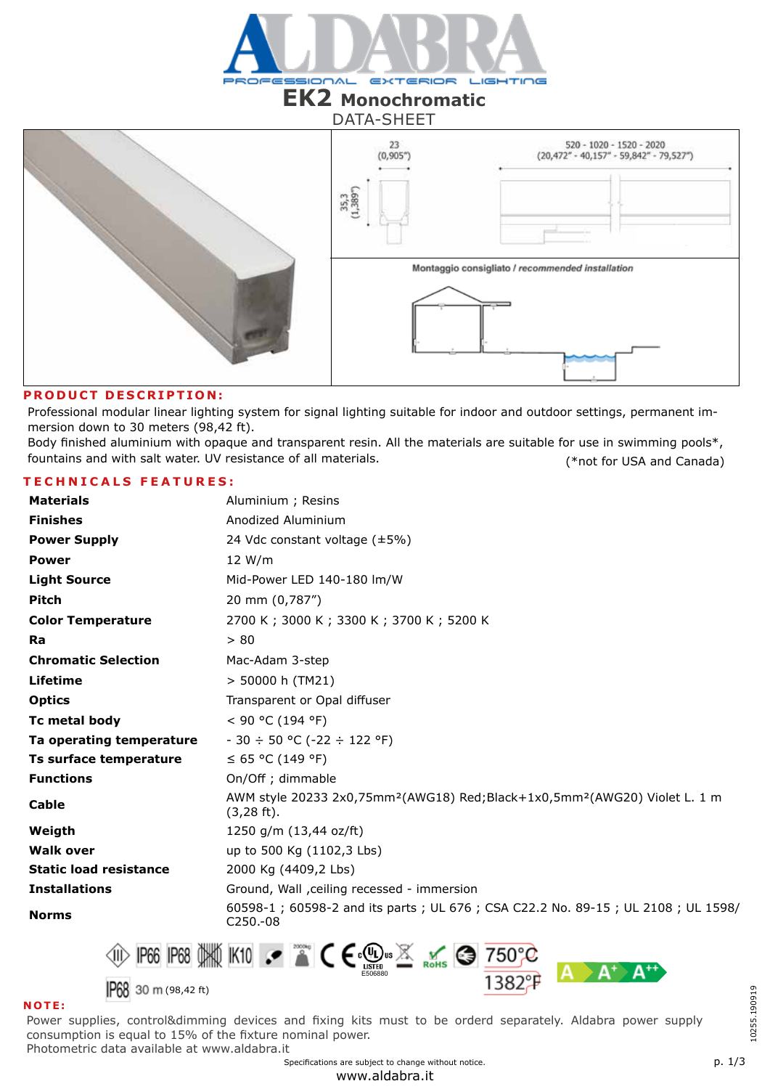

### **EK2 Monochromatic** DATA-SHEET



### **PRODUCT DESCRIPTION:**

Professional modular linear lighting system for signal lighting suitable for indoor and outdoor settings, permanent immersion down to 30 meters (98,42 ft).

Body finished aluminium with opaque and transparent resin. All the materials are suitable for use in swimming pools\*, fountains and with salt water. UV resistance of all materials. (\*not for USA and Canada)

### **TECHNICALS FEATURES:**

| <b>Materials</b>              | Aluminium ; Resins                                                                                                         |
|-------------------------------|----------------------------------------------------------------------------------------------------------------------------|
| <b>Finishes</b>               | Anodized Aluminium                                                                                                         |
| <b>Power Supply</b>           | 24 Vdc constant voltage $(\pm 5\%)$                                                                                        |
| <b>Power</b>                  | 12 W/m                                                                                                                     |
| <b>Light Source</b>           | Mid-Power LED 140-180 Im/W                                                                                                 |
| <b>Pitch</b>                  | 20 mm (0,787")                                                                                                             |
| <b>Color Temperature</b>      | 2700 K; 3000 K; 3300 K; 3700 K; 5200 K                                                                                     |
| Ra                            | > 80                                                                                                                       |
| <b>Chromatic Selection</b>    | Mac-Adam 3-step                                                                                                            |
| <b>Lifetime</b>               | > 50000 h (TM21)                                                                                                           |
| <b>Optics</b>                 | Transparent or Opal diffuser                                                                                               |
| Tc metal body                 | < 90 °C (194 °F)                                                                                                           |
| Ta operating temperature      | $-30 \div 50$ °C ( $-22 \div 122$ °F)                                                                                      |
| Ts surface temperature        | ≤ 65 °C (149 °F)                                                                                                           |
| <b>Functions</b>              | On/Off; dimmable                                                                                                           |
| Cable                         | AWM style 20233 2x0,75mm <sup>2</sup> (AWG18) Red;Black+1x0,5mm <sup>2</sup> (AWG20) Violet L. 1 m<br>$(3,28 \text{ ft}).$ |
| Weigth                        | 1250 g/m (13,44 oz/ft)                                                                                                     |
| <b>Walk over</b>              | up to 500 Kg (1102,3 Lbs)                                                                                                  |
| <b>Static load resistance</b> | 2000 Kg (4409,2 Lbs)                                                                                                       |
| <b>Installations</b>          | Ground, Wall , ceiling recessed - immersion                                                                                |
| <b>Norms</b>                  | 60598-1; 60598-2 and its parts; UL 676; CSA C22.2 No. 89-15; UL 2108; UL 1598/<br>$C250.-08$                               |
|                               | $\sim$ inge inge will know $\sim$ $\sim$ $\sim$ $\sim$ $\sim$<br>$\sim$ $\sim$ $\sim$                                      |



### **NOTE:**

Power supplies, control&dimming devices and fixing kits must to be orderd separately. Aldabra power supply consumption is equal to 15% of the fixture nominal power. Photometric data available at www.aldabra.it

Specifications are subject to change without notice.

10255.190919

10255.190919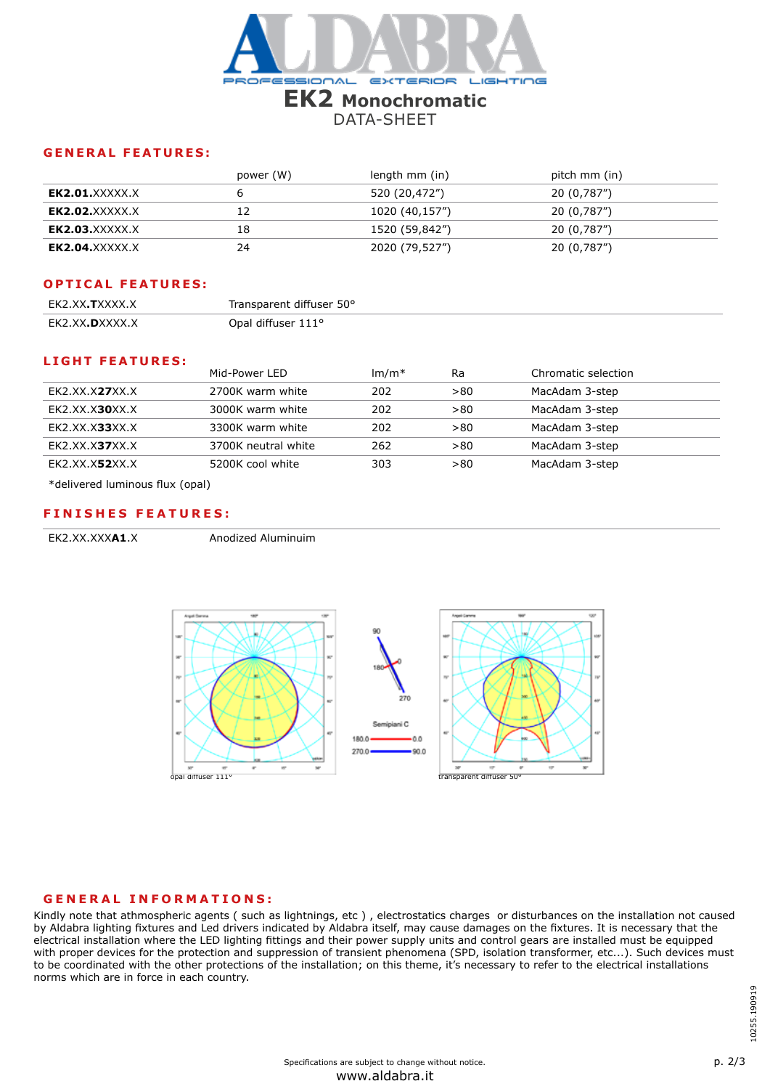

|                         | power (W) | length mm (in) | pitch mm (in) |  |
|-------------------------|-----------|----------------|---------------|--|
| EK2.01.XXXXX.X          |           | 520 (20,472")  | 20 (0,787")   |  |
| <b>EK2.02.</b> XXXXX.X  | 12        | 1020 (40,157") | 20 (0,787")   |  |
| <b>EK2.03.</b> XXXXX.X  | 18        | 1520 (59,842") | 20 (0,787")   |  |
| <b>EK2.04.</b> XXXXX. X | 24        | 2020 (79,527") | 20 (0,787")   |  |

### **OPTICAL FEATURES:**

| FK2 XX TXXXX X          | Transparent diffuser 50° |
|-------------------------|--------------------------|
| EK2.XX <b>.D</b> XXXX.X | Opal diffuser 111°       |

### **LIGHT FEATURES:**

|                | Mid-Power LED       | $Im/m*$ | Ra   | Chromatic selection |  |
|----------------|---------------------|---------|------|---------------------|--|
| EK2.XX.X27XX.X | 2700K warm white    | 202     | > 80 | MacAdam 3-step      |  |
| EK2.XX.X30XX.X | 3000K warm white    | 202     | >80  | MacAdam 3-step      |  |
| EK2.XX.X33XX.X | 3300K warm white    | 202     | >80  | MacAdam 3-step      |  |
| EK2.XX.X37XX.X | 3700K neutral white | 262     | > 80 | MacAdam 3-step      |  |
| EK2.XX.X52XX.X | 5200K cool white    | 303     | > 80 | MacAdam 3-step      |  |
|                |                     |         |      |                     |  |

\*delivered luminous flux (opal)

### **FINISHES FEATURES:**

EK2.XX.XXX**A1**.X Anodized Aluminuim



### **GENERAL INFORMATIONS:**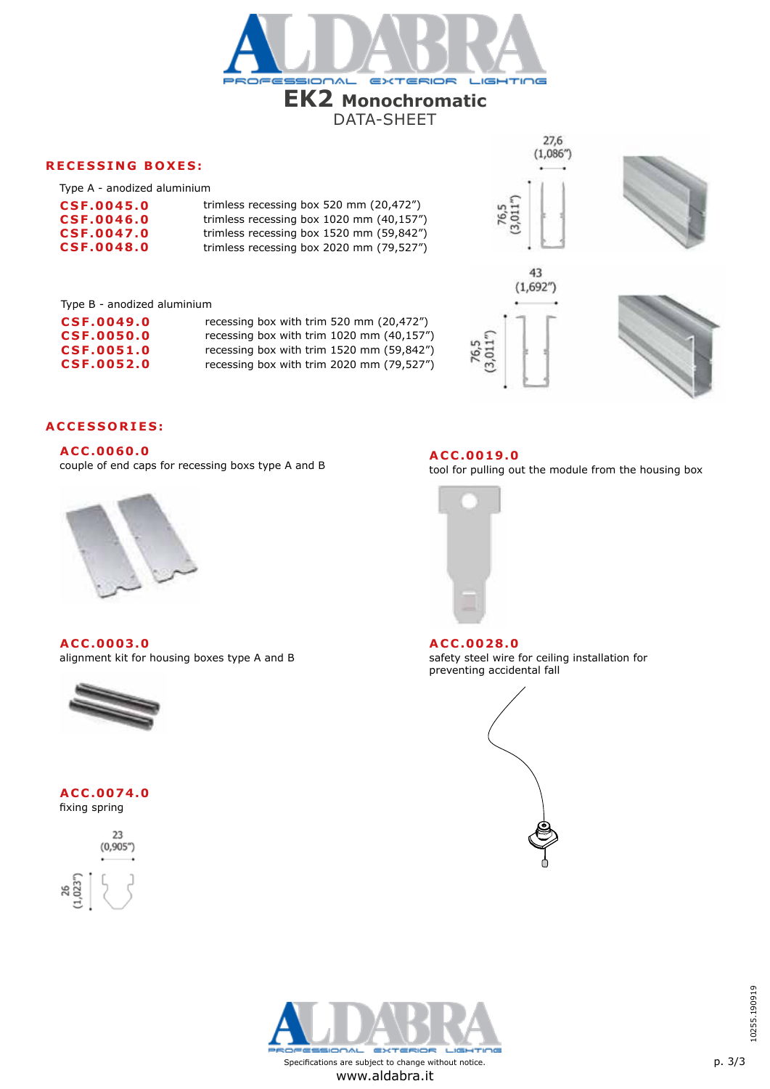

Type A - anodized aluminium

| CSF.0045.0 | trimless recessing box 520 mm (20,472")  |
|------------|------------------------------------------|
| CSF.0046.0 | trimless recessing box 1020 mm (40,157") |
| CSF.0047.0 | trimless recessing box 1520 mm (59,842") |
| CSF.0048.0 | trimless recessing box 2020 mm (79,527") |

27,6  $(1,086")$ 76,5<br>3,011'



Type B - anodized aluminium

| recessing box with trim 520 mm (20,472")  |
|-------------------------------------------|
| recessing box with trim 1020 mm (40,157") |
| recessing box with trim 1520 mm (59,842") |
| recessing box with trim 2020 mm (79,527") |
|                                           |





### **ACCESSORIES:**

**ACC.0060.0**

couple of end caps for recessing boxs type A and B



**ACC.0003.0** alignment kit for housing boxes type A and B



### **ACC.0074.0** fixing spring





**ACC.0028.0**

**ACC.0019.0**

safety steel wire for ceiling installation for preventing accidental fall

tool for pulling out the module from the housing box





Specifications are subject to change without notice. www.aldabra.it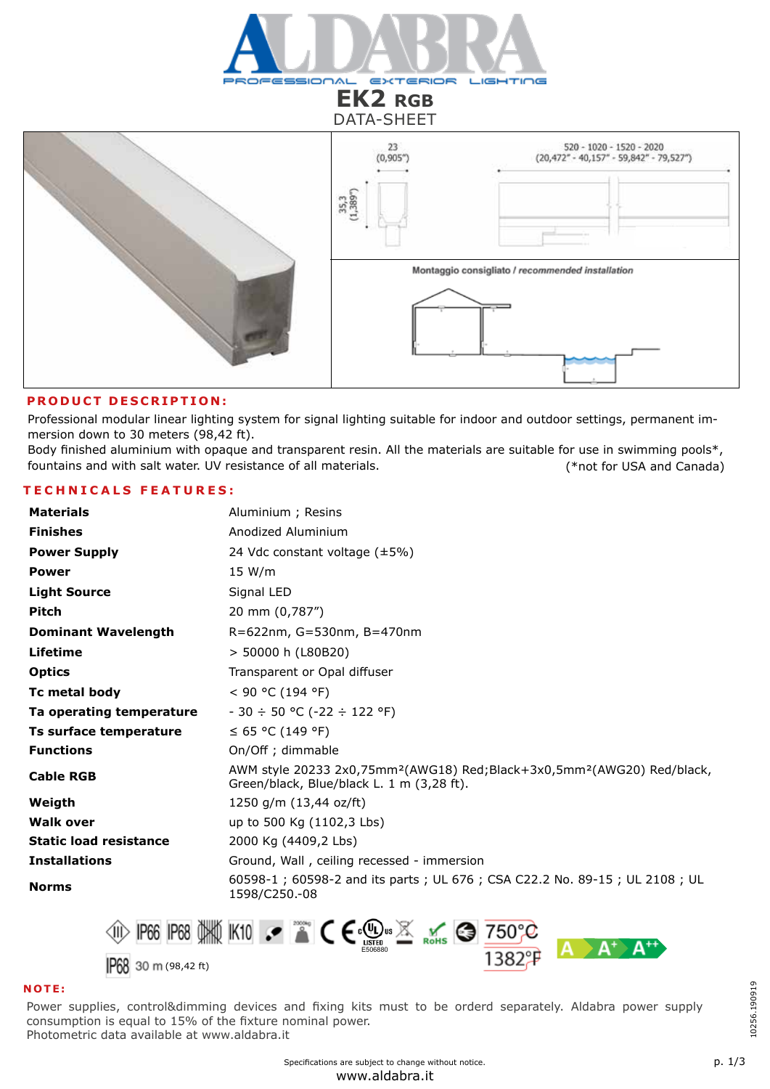

# **EK2 RGB** DATA-SHEET



### **PRODUCT DESCRIPTION:**

Professional modular linear lighting system for signal lighting suitable for indoor and outdoor settings, permanent immersion down to 30 meters (98,42 ft).

Body finished aluminium with opaque and transparent resin. All the materials are suitable for use in swimming pools\*, fountains and with salt water. UV resistance of all materials. (\*not for USA and Canada)

### **TECHNICALS FEATURES:**

| <b>Materials</b>              | Aluminium ; Resins                                                                                                                           |  |
|-------------------------------|----------------------------------------------------------------------------------------------------------------------------------------------|--|
| <b>Finishes</b>               | Anodized Aluminium                                                                                                                           |  |
| <b>Power Supply</b>           | 24 Vdc constant voltage $(\pm 5\%)$                                                                                                          |  |
| <b>Power</b>                  | 15 W/m                                                                                                                                       |  |
| <b>Light Source</b>           | Signal LED                                                                                                                                   |  |
| Pitch                         | 20 mm (0,787")                                                                                                                               |  |
| <b>Dominant Wavelength</b>    | R=622nm, G=530nm, B=470nm                                                                                                                    |  |
| Lifetime                      | > 50000 h (L80B20)                                                                                                                           |  |
| <b>Optics</b>                 | Transparent or Opal diffuser                                                                                                                 |  |
| Tc metal body                 | < 90 °C (194 °F)                                                                                                                             |  |
| Ta operating temperature      | $-30 \div 50$ °C (-22 $\div 122$ °F)                                                                                                         |  |
| Ts surface temperature        | ≤ 65 °C (149 °F)                                                                                                                             |  |
| <b>Functions</b>              | On/Off; dimmable                                                                                                                             |  |
| Cable RGB                     | AWM style 20233 2x0,75mm <sup>2</sup> (AWG18) Red;Black+3x0,5mm <sup>2</sup> (AWG20) Red/black,<br>Green/black, Blue/black L. 1 m (3,28 ft). |  |
| Weigth                        | 1250 g/m (13,44 oz/ft)                                                                                                                       |  |
| <b>Walk over</b>              | up to 500 Kg (1102,3 Lbs)                                                                                                                    |  |
| <b>Static load resistance</b> | 2000 Kg (4409,2 Lbs)                                                                                                                         |  |
| <b>Installations</b>          | Ground, Wall, ceiling recessed - immersion                                                                                                   |  |
| <b>Norms</b>                  | 60598-1; 60598-2 and its parts; UL 676; CSA C22.2 No. 89-15; UL 2108; UL<br>1598/C250.-08                                                    |  |
|                               |                                                                                                                                              |  |



### **NOTE:**

Power supplies, control&dimming devices and fixing kits must to be orderd separately. Aldabra power supply consumption is equal to 15% of the fixture nominal power. Photometric data available at www.aldabra.it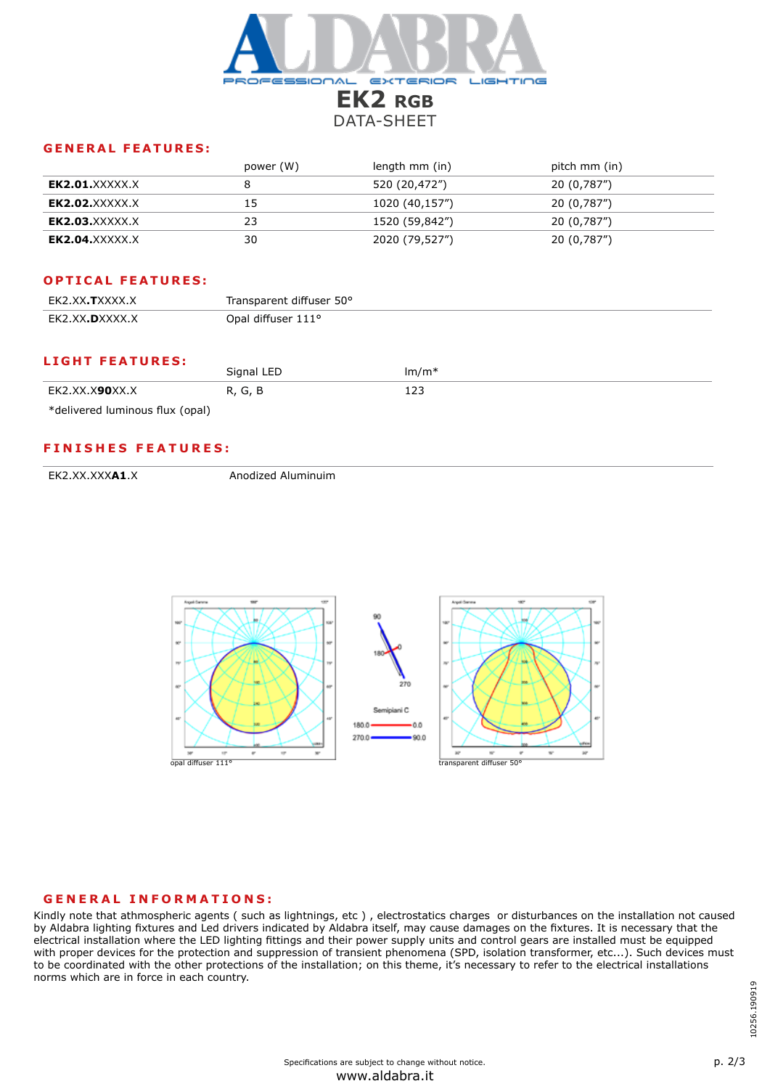

|                        | power (W) | length mm (in) | pitch mm (in) |  |
|------------------------|-----------|----------------|---------------|--|
| <b>EK2.01.</b> XXXXX.X |           | 520 (20,472")  | 20 (0,787")   |  |
| <b>EK2.02.</b> XXXXX.X | 15        | 1020 (40,157") | 20 (0,787")   |  |
| <b>EK2.03.</b> XXXXX.X |           | 1520 (59,842") | 20 (0,787")   |  |
| <b>EK2.04.</b> XXXXX.X | 30        | 2020 (79,527") | 20 (0,787")   |  |

### **OPTICAL FEATURES:**

| EK2.XX. <b>T</b> XXXX.X | Transparent diffuser 50° |
|-------------------------|--------------------------|
| EK2.XX. <b>D</b> XXXX.X | Opal diffuser 111°       |

### **LIGHT FEATURES:**

|                                 | Signal LED | $Im/m*$ |
|---------------------------------|------------|---------|
| EK2.XX.X <b>90</b> XX.X         | R, G, B    | ⊥∠⊃     |
| *delivered luminous flux (opal) |            |         |

### **FINISHES FEATURES:**

EK2.XX.XXXA1.X **Anodized Aluminuim** 



### **GENERAL INFORMATIONS:**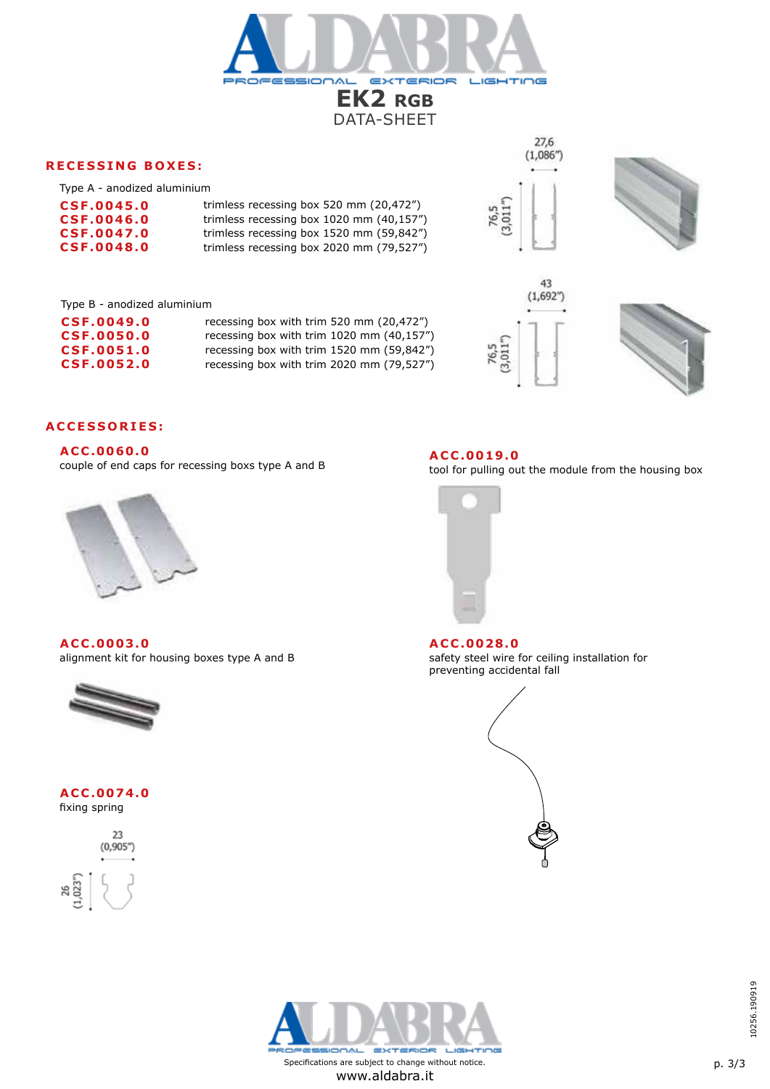

Type A - anodized aluminium

| CSF.0045.0 | trimless recessing box 520 mm (20,472")  |
|------------|------------------------------------------|
| CSF.0046.0 | trimless recessing box 1020 mm (40,157") |
| CSF.0047.0 | trimless recessing box 1520 mm (59,842") |
| CSF.0048.0 | trimless recessing box 2020 mm (79,527") |





Type B - anodized aluminium

| recessing box with trim 520 mm (20,472")  |
|-------------------------------------------|
| recessing box with trim 1020 mm (40,157") |
| recessing box with trim 1520 mm (59,842") |
| recessing box with trim 2020 mm (79,527") |
|                                           |



tool for pulling out the module from the housing box



### **ACCESSORIES:**

**ACC.0060.0**

couple of end caps for recessing boxs type A and B



**ACC.0003.0** alignment kit for housing boxes type A and B



### **ACC.0074.0** fixing spring





**ACC.0019.0**

**ACC.0028.0**

safety steel wire for ceiling installation for preventing accidental fall





Specifications are subject to change without notice. www.aldabra.it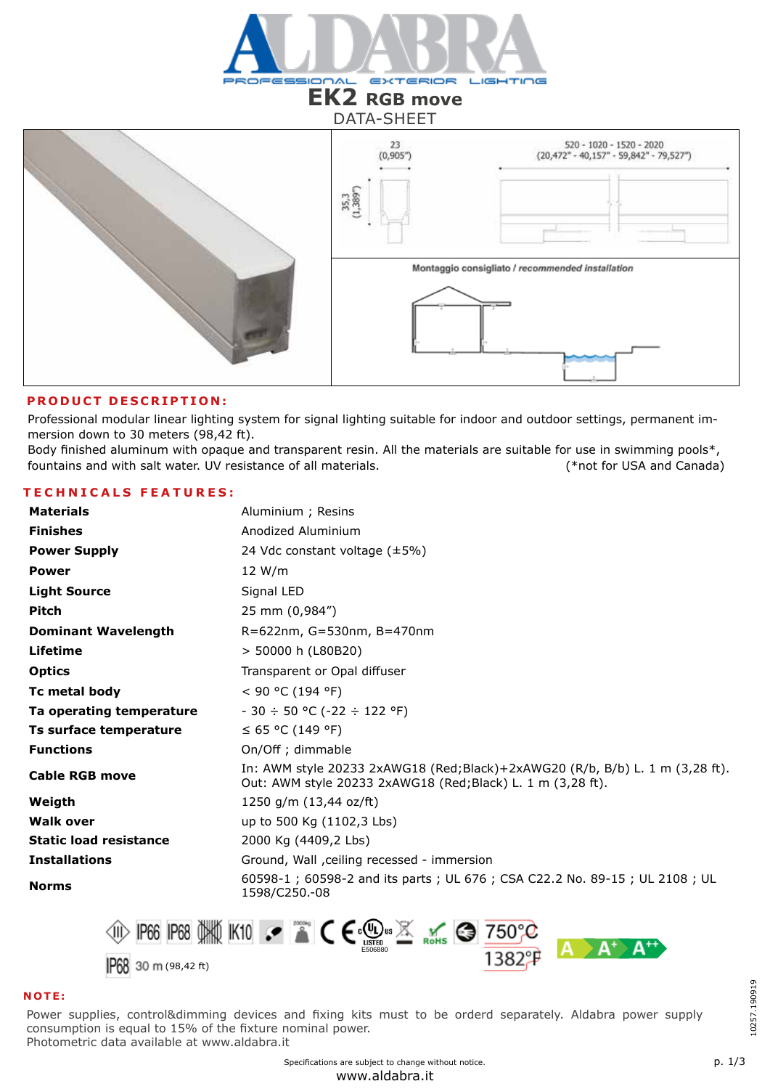

### **EK2 RGB move** DATA-SHEET



### **PRODUCT DESCRIPTION:**

Professional modular linear lighting system for signal lighting suitable for indoor and outdoor settings, permanent immersion down to 30 meters (98,42 ft).

Body finished aluminum with opaque and transparent resin. All the materials are suitable for use in swimming pools\*, fountains and with salt water. UV resistance of all materials. (\*not for USA and Canada)

### **TECHNICALS FEATURES:**

| <b>Materials</b>              | Aluminium ; Resins                                                                                                                           |
|-------------------------------|----------------------------------------------------------------------------------------------------------------------------------------------|
| <b>Finishes</b>               | Anodized Aluminium                                                                                                                           |
| <b>Power Supply</b>           | 24 Vdc constant voltage $(\pm 5\%)$                                                                                                          |
| <b>Power</b>                  | 12 W/m                                                                                                                                       |
| <b>Light Source</b>           | Signal LED                                                                                                                                   |
| <b>Pitch</b>                  | 25 mm (0,984")                                                                                                                               |
| <b>Dominant Wavelength</b>    | $R = 622$ nm, G=530nm, B=470nm                                                                                                               |
| Lifetime                      | > 50000 h (L80B20)                                                                                                                           |
| <b>Optics</b>                 | Transparent or Opal diffuser                                                                                                                 |
| Tc metal body                 | $<$ 90 °C (194 °F)                                                                                                                           |
| Ta operating temperature      | $-30 \div 50$ °C ( $-22 \div 122$ °F)                                                                                                        |
| Ts surface temperature        | ≤ 65 °C (149 °F)                                                                                                                             |
| <b>Functions</b>              | On/Off; dimmable                                                                                                                             |
| <b>Cable RGB move</b>         | In: AWM style 20233 2xAWG18 (Red; Black)+2xAWG20 (R/b, B/b) L. 1 m (3,28 ft).<br>Out: AWM style 20233 2xAWG18 (Red; Black) L. 1 m (3,28 ft). |
| Weigth                        | 1250 g/m (13,44 oz/ft)                                                                                                                       |
| <b>Walk over</b>              | up to 500 Kg (1102,3 Lbs)                                                                                                                    |
| <b>Static load resistance</b> | 2000 Kg (4409,2 Lbs)                                                                                                                         |
| <b>Installations</b>          | Ground, Wall , ceiling recessed - immersion                                                                                                  |
| <b>Norms</b>                  | 60598-1; 60598-2 and its parts; UL 676; CSA C22.2 No. 89-15; UL 2108; UL<br>1598/C250.-08                                                    |
|                               |                                                                                                                                              |



#### **NOTE:**

Power supplies, control&dimming devices and fixing kits must to be orderd separately. Aldabra power supply consumption is equal to 15% of the fixture nominal power. Photometric data available at www.aldabra.it

Specifications are subject to change without notice.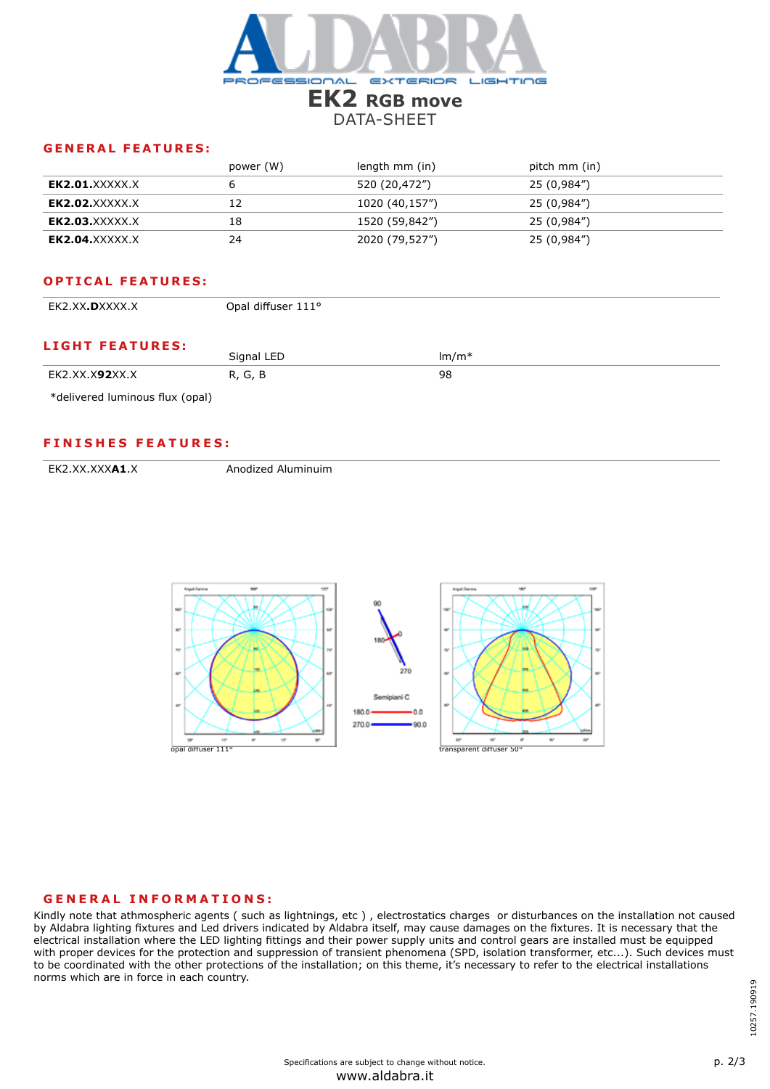

|                        | power (W) | length mm (in) | pitch mm (in) |  |
|------------------------|-----------|----------------|---------------|--|
| <b>EK2.01.</b> XXXXX.X |           | 520 (20,472")  | 25 (0,984″)   |  |
| <b>EK2.02.</b> XXXXX.X |           | 1020 (40,157") | 25 (0,984″)   |  |
| <b>EK2.03.</b> XXXXX.X | 18        | 1520 (59,842") | 25 (0,984″)   |  |
| <b>EK2.04.</b> XXXXX.X | 24        | 2020 (79,527") | 25 (0,984″)   |  |

### **OPTICAL FEATURES:**

| EK2.XX. <b>D</b> XXXX.X         | Opal diffuser 111° |         |  |
|---------------------------------|--------------------|---------|--|
| <b>LIGHT FEATURES:</b>          | Signal LED         | $Im/m*$ |  |
| EK2.XX.X <b>92</b> XX.X         | R, G, B            | 98      |  |
| *delivered luminous flux (opal) |                    |         |  |

#### **FINISHES FEATURES:**

EK2.XX.XXXA1.X Anodized Aluminuim



### **GENERAL INFORMATIONS:**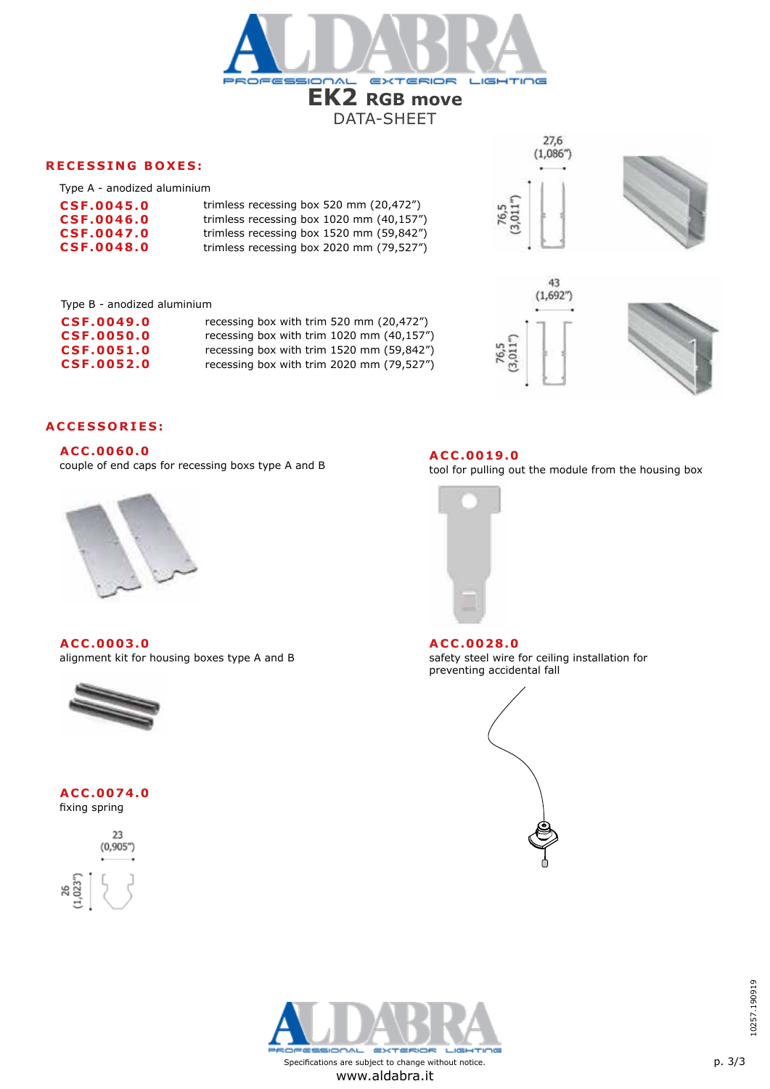

Type A - anodized aluminium

| CSF.0045.0        | trimless recessing box 520 mm (20,472")      |
|-------------------|----------------------------------------------|
| CSF.0046.0        | trimless recessing box $1020$ mm $(40,157")$ |
| CSF.0047.0        | trimless recessing box 1520 mm (59,842")     |
| <b>CSF.0048.0</b> | trimless recessing box 2020 mm (79,527")     |

27,6  $(1,086")$ 76,5<br>3,011"



Type B - anodized aluminium

| <b>CSF.0049.0</b> | recessing box with trim 520 mm (20,472")  |
|-------------------|-------------------------------------------|
| <b>CSF.0050.0</b> | recessing box with trim 1020 mm (40,157") |
| CSF.0051.0        | recessing box with trim 1520 mm (59,842") |
| CSF.0052.0        | recessing box with trim 2020 mm (79,527") |
|                   |                                           |



tool for pulling out the module from the housing box



### **ACCESSORIES:**

**ACC.0060.0**

couple of end caps for recessing boxs type A and B



**ACC.0003.0** alignment kit for housing boxes type A and B



### **ACC.0074.0** fixing spring





**ACC.0019.0**

**ACC.0028.0**

safety steel wire for ceiling installation for preventing accidental fall





Specifications are subject to change without notice. www.aldabra.it

10257.190919 10257.190919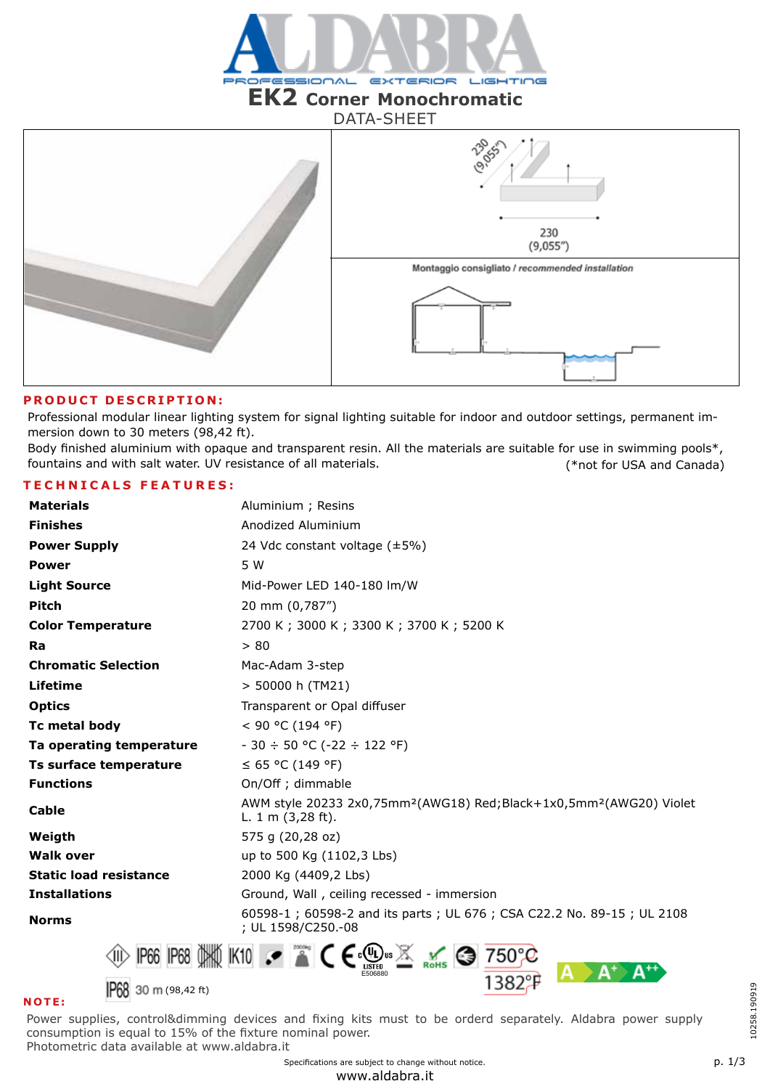



### **PRODUCT DESCRIPTION:**

Professional modular linear lighting system for signal lighting suitable for indoor and outdoor settings, permanent immersion down to 30 meters (98,42 ft).

Body finished aluminium with opaque and transparent resin. All the materials are suitable for use in swimming pools\*, fountains and with salt water. UV resistance of all materials. (\*not for USA and Canada)

### **TECHNICALS FEATURES:**

| <b>Materials</b>              | Aluminium ; Resins                                                                                                          |  |
|-------------------------------|-----------------------------------------------------------------------------------------------------------------------------|--|
| <b>Finishes</b>               | Anodized Aluminium                                                                                                          |  |
| <b>Power Supply</b>           | 24 Vdc constant voltage $(\pm 5\%)$                                                                                         |  |
| <b>Power</b>                  | 5 W                                                                                                                         |  |
| <b>Light Source</b>           | Mid-Power LED 140-180 lm/W                                                                                                  |  |
| <b>Pitch</b>                  | 20 mm (0,787")                                                                                                              |  |
| <b>Color Temperature</b>      | 2700 K; 3000 K; 3300 K; 3700 K; 5200 K                                                                                      |  |
| Ra                            | > 80                                                                                                                        |  |
| <b>Chromatic Selection</b>    | Mac-Adam 3-step                                                                                                             |  |
| Lifetime                      | $>$ 50000 h (TM21)                                                                                                          |  |
| <b>Optics</b>                 | Transparent or Opal diffuser                                                                                                |  |
| Tc metal body                 | < 90 °C (194 °F)                                                                                                            |  |
| Ta operating temperature      | $-30 \div 50$ °C (-22 $\div 122$ °F)                                                                                        |  |
| Ts surface temperature        | ≤ 65 °C (149 °F)                                                                                                            |  |
| <b>Functions</b>              | On/Off; dimmable                                                                                                            |  |
| <b>Cable</b>                  | AWM style 20233 2x0,75mm <sup>2</sup> (AWG18) Red; Black+1x0,5mm <sup>2</sup> (AWG20) Violet<br>L. $1 \text{ m}$ (3,28 ft). |  |
| Weigth                        | 575 g (20,28 oz)                                                                                                            |  |
| <b>Walk over</b>              | up to 500 Kg (1102,3 Lbs)                                                                                                   |  |
| <b>Static load resistance</b> | 2000 Kg (4409,2 Lbs)                                                                                                        |  |
| <b>Installations</b>          | Ground, Wall, ceiling recessed - immersion                                                                                  |  |
| <b>Norms</b>                  | 60598-1; 60598-2 and its parts; UL 676; CSA C22.2 No. 89-15; UL 2108<br>; UL 1598/C250 .- 08                                |  |
|                               | $\subseteq$ c(UL) <sub>us</sub> $\boxtimes$<br>750°<br>G                                                                    |  |
| <b>IPGR</b> 30 m (98.42 ft)   | 1382ੰ₽                                                                                                                      |  |

**NOTE:**

**IP68** 30 m (98,42 ft)

Power supplies, control&dimming devices and fixing kits must to be orderd separately. Aldabra power supply consumption is equal to 15% of the fixture nominal power. Photometric data available at www.aldabra.it

Specifications are subject to change without notice.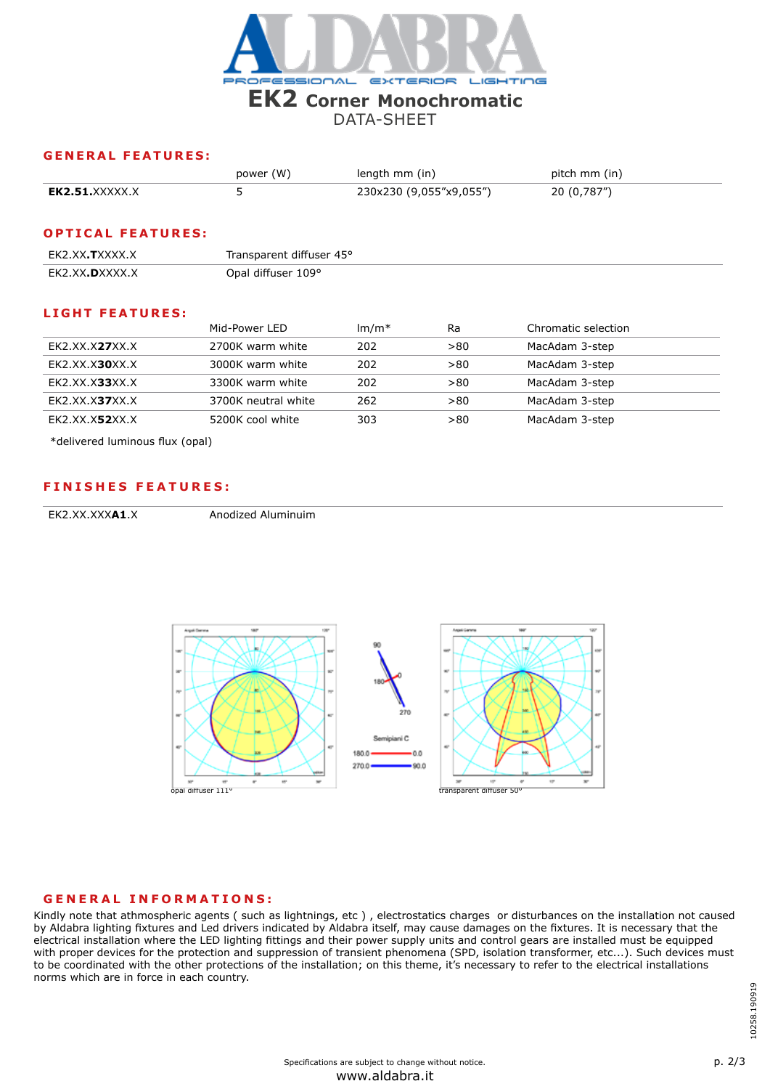

|                | power (W) | length mm (in)          | pitch mm (in) |
|----------------|-----------|-------------------------|---------------|
| EK2.51.XXXXX.X |           | 230x230 (9,055"x9,055") | 20 (0,787")   |

### **OPTICAL FEATURES:**

| FK2 XX TXXXX X | Transparent diffuser 45° |
|----------------|--------------------------|
| FK2 XX DXXXX X | Opal diffuser 109°       |

#### **LIGHT FEATURES:**

|                         | Mid-Power LED       | $Im/m*$ | Ra   | Chromatic selection |
|-------------------------|---------------------|---------|------|---------------------|
| EK2.XX.X27XX.X          | 2700K warm white    | 202     | > 80 | MacAdam 3-step      |
| EK2.XX.X <b>30</b> XX.X | 3000K warm white    | 202     | >80  | MacAdam 3-step      |
| EK2.XX.X33XX.X          | 3300K warm white    | 202     | > 80 | MacAdam 3-step      |
| EK2.XX.X37XX.X          | 3700K neutral white | 262     | > 80 | MacAdam 3-step      |
| EK2.XX.X52XX.X          | 5200K cool white    | 303     | > 80 | MacAdam 3-step      |

\*delivered luminous flux (opal)

### **FINISHES FEATURES:**

EK2.XX.XXX**A1**.X Anodized Aluminuim



### **GENERAL INFORMATIONS:**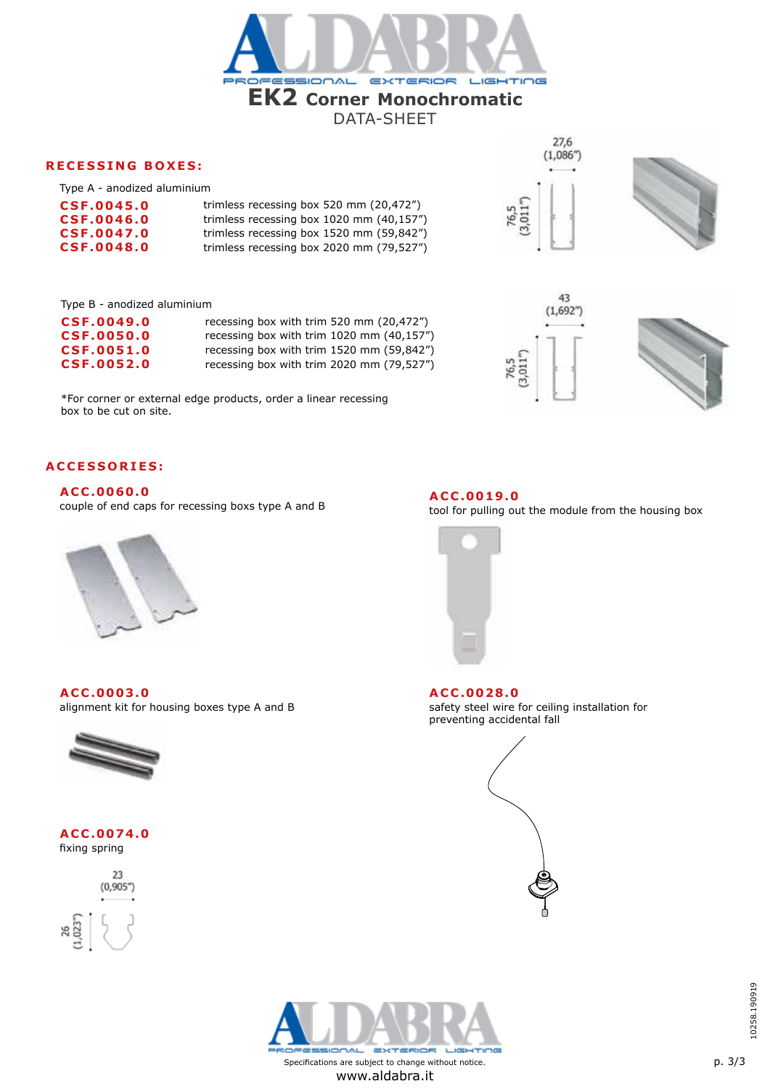

Type A - anodized aluminium

| CSF.0045.0 | trimless recessing box 520 mm (20,472")  |
|------------|------------------------------------------|
| CSF.0046.0 | trimless recessing box 1020 mm (40,157") |
| CSF.0047.0 | trimless recessing box 1520 mm (59,842") |
| CSF.0048.0 | trimless recessing box 2020 mm (79,527") |

27,6  $(1,086")$ 76,5  $\overline{01}$ 



Type B - anodized aluminium

| CSF.0049.0        | recessing box with trim 520 mm (20,472")  |
|-------------------|-------------------------------------------|
| <b>CSF.0050.0</b> | recessing box with trim 1020 mm (40,157") |
| <b>CSF.0051.0</b> | recessing box with trim 1520 mm (59,842") |
| CSF.0052.0        | recessing box with trim 2020 mm (79,527") |

\*For corner or external edge products, order a linear recessing box to be cut on site.



tool for pulling out the module from the housing box



### **ACCESSORIES:**

### **ACC.0060.0**

couple of end caps for recessing boxs type A and B



**ACC.0019.0**

**ACC.0003.0**

alignment kit for housing boxes type A and B



### **ACC.0074.0** fixing spring









Specifications are subject to change without notice. www.aldabra.it

10258.190919 10258.190919

p. 3/3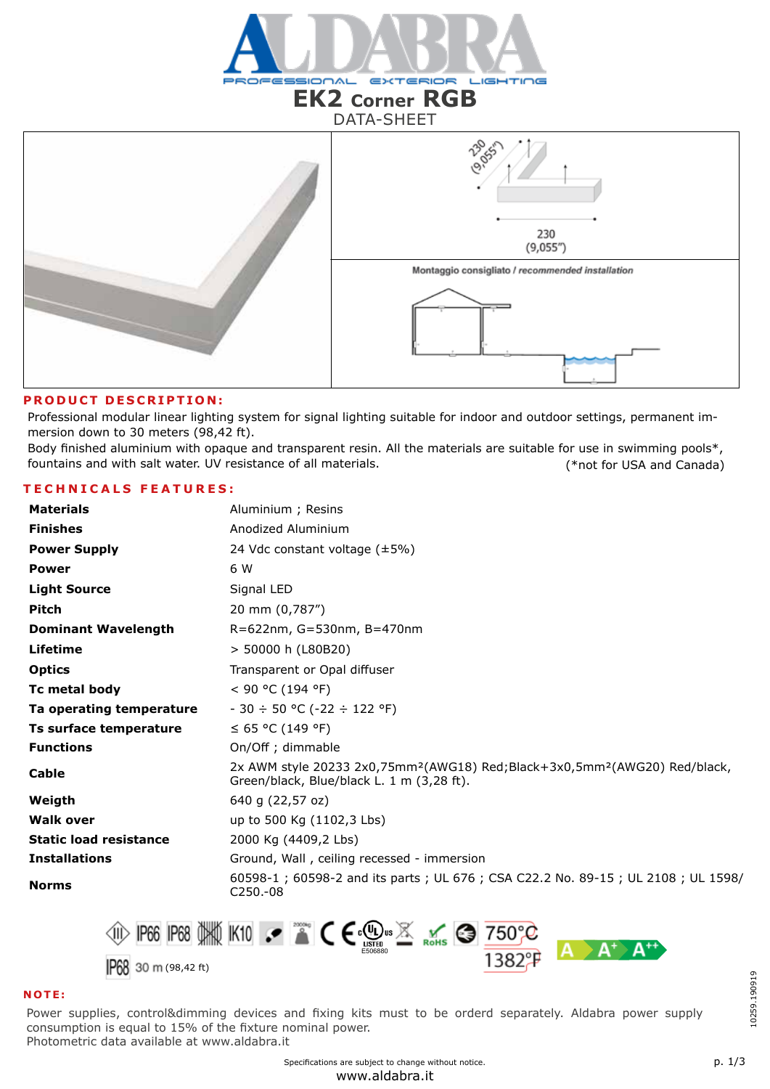



### **PRODUCT DESCRIPTION:**

Professional modular linear lighting system for signal lighting suitable for indoor and outdoor settings, permanent immersion down to 30 meters (98,42 ft).

Body finished aluminium with opaque and transparent resin. All the materials are suitable for use in swimming pools\*, fountains and with salt water. UV resistance of all materials. (\*not for USA and Canada)

### **TECHNICALS FEATURES:**

| <b>Materials</b>              | Aluminium ; Resins                                                                                                                              |
|-------------------------------|-------------------------------------------------------------------------------------------------------------------------------------------------|
| <b>Finishes</b>               | Anodized Aluminium                                                                                                                              |
| <b>Power Supply</b>           | 24 Vdc constant voltage $(\pm 5\%)$                                                                                                             |
| <b>Power</b>                  | 6 W                                                                                                                                             |
| <b>Light Source</b>           | Signal LED                                                                                                                                      |
| <b>Pitch</b>                  | 20 mm (0,787")                                                                                                                                  |
| <b>Dominant Wavelength</b>    | R=622nm, G=530nm, B=470nm                                                                                                                       |
| Lifetime                      | > 50000 h (L80B20)                                                                                                                              |
| <b>Optics</b>                 | Transparent or Opal diffuser                                                                                                                    |
| Tc metal body                 | < 90 °C (194 °F)                                                                                                                                |
| Ta operating temperature      | $-30 \div 50$ °C ( $-22 \div 122$ °F)                                                                                                           |
| Ts surface temperature        | ≤ 65 °C (149 °F)                                                                                                                                |
| <b>Functions</b>              | On/Off; dimmable                                                                                                                                |
| <b>Cable</b>                  | 2x AWM style 20233 2x0,75mm <sup>2</sup> (AWG18) Red;Black+3x0,5mm <sup>2</sup> (AWG20) Red/black,<br>Green/black, Blue/black L. 1 m (3,28 ft). |
| Weigth                        | 640 g (22,57 oz)                                                                                                                                |
| <b>Walk over</b>              | up to 500 Kg (1102,3 Lbs)                                                                                                                       |
| <b>Static load resistance</b> | 2000 Kg (4409,2 Lbs)                                                                                                                            |
| <b>Installations</b>          | Ground, Wall, ceiling recessed - immersion                                                                                                      |
| <b>Norms</b>                  | 60598-1; 60598-2 and its parts; UL 676; CSA C22.2 No. 89-15; UL 2108; UL 1598/<br>$C250.-08$                                                    |
|                               |                                                                                                                                                 |



#### **NOTE:**

Power supplies, control&dimming devices and fixing kits must to be orderd separately. Aldabra power supply consumption is equal to 15% of the fixture nominal power. Photometric data available at www.aldabra.it

10259.190919

0259.190919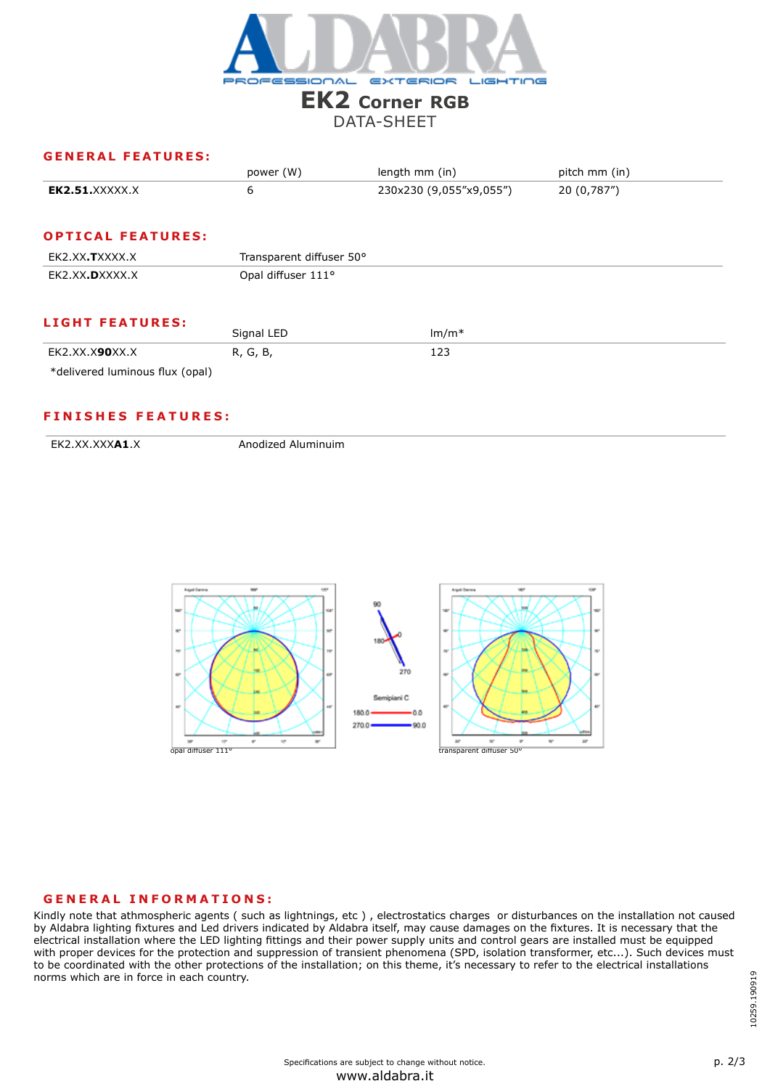

# DATA-SHEET

#### **GENERAL FEATURES:**

|                                 | power (W)                | length mm (in)          | pitch mm (in) |
|---------------------------------|--------------------------|-------------------------|---------------|
| <b>EK2.51.XXXXX.X</b>           | 6                        | 230x230 (9,055"x9,055") | 20 (0,787")   |
| <b>OPTICAL FEATURES:</b>        |                          |                         |               |
| EK2.XX.TXXXX.X                  | Transparent diffuser 50° |                         |               |
| EK2.XX.DXXXX.X                  | Opal diffuser 111°       |                         |               |
| <b>LIGHT FEATURES:</b>          | Signal LED               | $Im/m*$                 |               |
| EK2.XX.X90XX.X                  | R, G, B,                 | 123                     |               |
| *delivered luminous flux (opal) |                          |                         |               |

### **FINISHES FEATURES:**

EK2.XX.XXXA1.X Anodized Aluminuim



### **GENERAL INFORMATIONS:**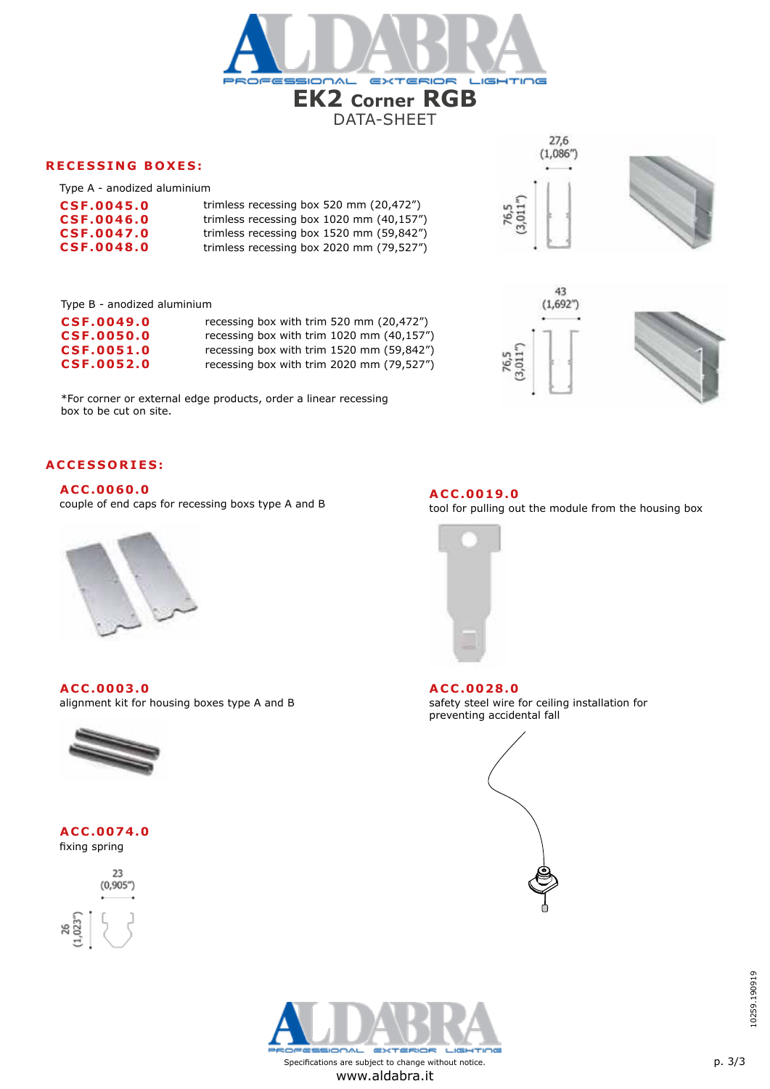

Type A - anodized aluminium

| CSF.0045.0        | trimless recessing box 520 mm (20,472")  |
|-------------------|------------------------------------------|
| CSF.0046.0        | trimless recessing box 1020 mm (40,157") |
| CSF.0047.0        | trimless recessing box 1520 mm (59,842") |
| <b>CSF.0048.0</b> | trimless recessing box 2020 mm (79,527") |

 $(1,086")$ 3.011

27,6



Type B - anodized aluminium

| CSF.0049.0        | recessing box with trim 520 mm (20,472")  |
|-------------------|-------------------------------------------|
| <b>CSF.0050.0</b> | recessing box with trim 1020 mm (40,157") |
| CSF.0051.0        | recessing box with trim 1520 mm (59,842") |
| <b>CSF.0052.0</b> | recessing box with trim 2020 mm (79,527") |

\*For corner or external edge products, order a linear recessing box to be cut on site.



tool for pulling out the module from the housing box



### **ACCESSORIES:**

#### **ACC.0060.0**

**ACC.0003.0**

**ACC.0074.0** fixing spring

26<br>1,023

23  $(0,905")$ 

couple of end caps for recessing boxs type A and B

alignment kit for housing boxes type A and B



**ACC.0019.0**

### **ACC.0028.0**

safety steel wire for ceiling installation for preventing accidental fall





Specifications are subject to change without notice. www.aldabra.it

10259.190919 10259.190919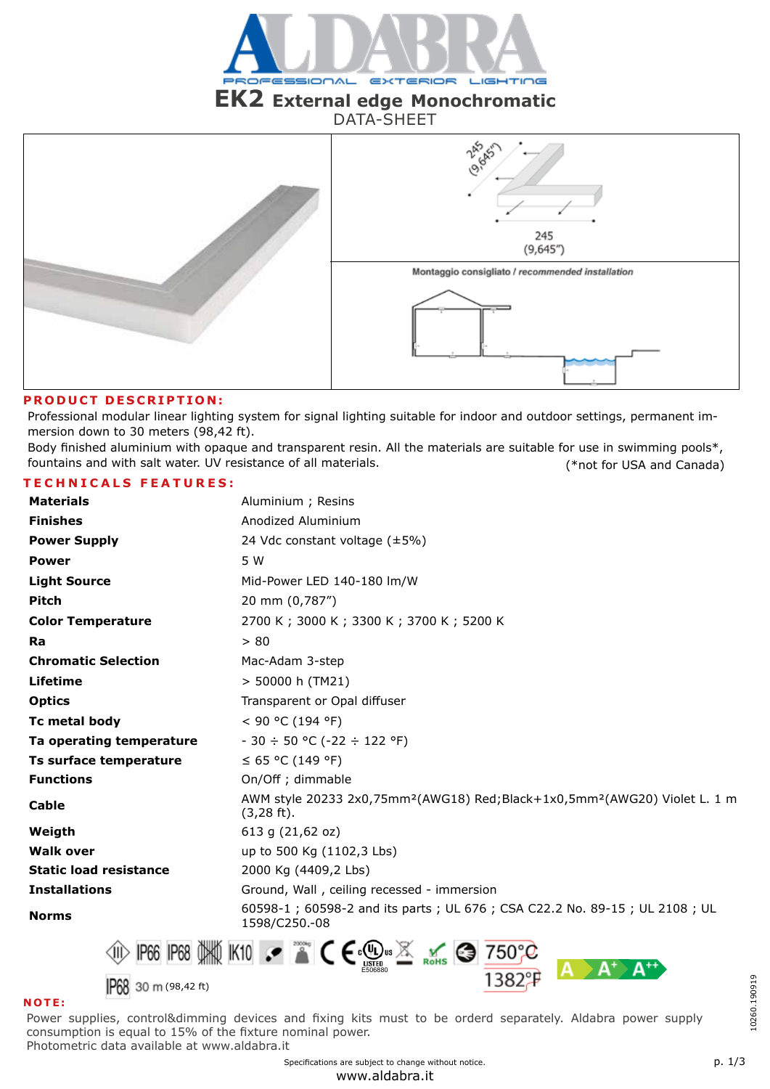

# **EK2 External edge Monochromatic**

### DATA-SHEET



### **PRODUCT DESCRIPTION:**

Professional modular linear lighting system for signal lighting suitable for indoor and outdoor settings, permanent immersion down to 30 meters (98,42 ft).

Body finished aluminium with opaque and transparent resin. All the materials are suitable for use in swimming pools\*, fountains and with salt water. UV resistance of all materials. (\*not for USA and Canada)

### **TECHNICALS FEATURES:**

| <b>Materials</b>              | Aluminium ; Resins                                                                                                         |
|-------------------------------|----------------------------------------------------------------------------------------------------------------------------|
| <b>Finishes</b>               | Anodized Aluminium                                                                                                         |
| <b>Power Supply</b>           | 24 Vdc constant voltage $(\pm 5\%)$                                                                                        |
| <b>Power</b>                  | 5 W                                                                                                                        |
| <b>Light Source</b>           | Mid-Power LED 140-180 lm/W                                                                                                 |
| <b>Pitch</b>                  | 20 mm (0,787")                                                                                                             |
| <b>Color Temperature</b>      | 2700 K; 3000 K; 3300 K; 3700 K; 5200 K                                                                                     |
| Ra                            | > 80                                                                                                                       |
| <b>Chromatic Selection</b>    | Mac-Adam 3-step                                                                                                            |
| Lifetime                      | > 50000 h (TM21)                                                                                                           |
| <b>Optics</b>                 | Transparent or Opal diffuser                                                                                               |
| <b>Tc metal body</b>          | < 90 °C (194 °F)                                                                                                           |
| Ta operating temperature      | $-30 \div 50$ °C (-22 $\div 122$ °F)                                                                                       |
| Ts surface temperature        | ≤ 65 °C (149 °F)                                                                                                           |
| <b>Functions</b>              | On/Off; dimmable                                                                                                           |
| <b>Cable</b>                  | AWM style 20233 2x0,75mm <sup>2</sup> (AWG18) Red;Black+1x0,5mm <sup>2</sup> (AWG20) Violet L. 1 m<br>$(3,28 \text{ ft}).$ |
| Weigth                        | 613 g (21,62 oz)                                                                                                           |
| <b>Walk over</b>              | up to 500 Kg (1102,3 Lbs)                                                                                                  |
| <b>Static load resistance</b> | 2000 Kg (4409,2 Lbs)                                                                                                       |
| <b>Installations</b>          | Ground, Wall, ceiling recessed - immersion                                                                                 |
| <b>Norms</b>                  | 60598-1; 60598-2 and its parts; UL 676; CSA C22.2 No. 89-15; UL 2108; UL<br>1598/C250 .- 08                                |
|                               | E506880                                                                                                                    |

**P68** 30 m (98,42 ft)



Power supplies, control&dimming devices and fixing kits must to be orderd separately. Aldabra power supply consumption is equal to 15% of the fixture nominal power.

Photometric data available at www.aldabra.it

Specifications are subject to change without notice.

 $1382^{\circ}$ 

10260.190919

0260.190919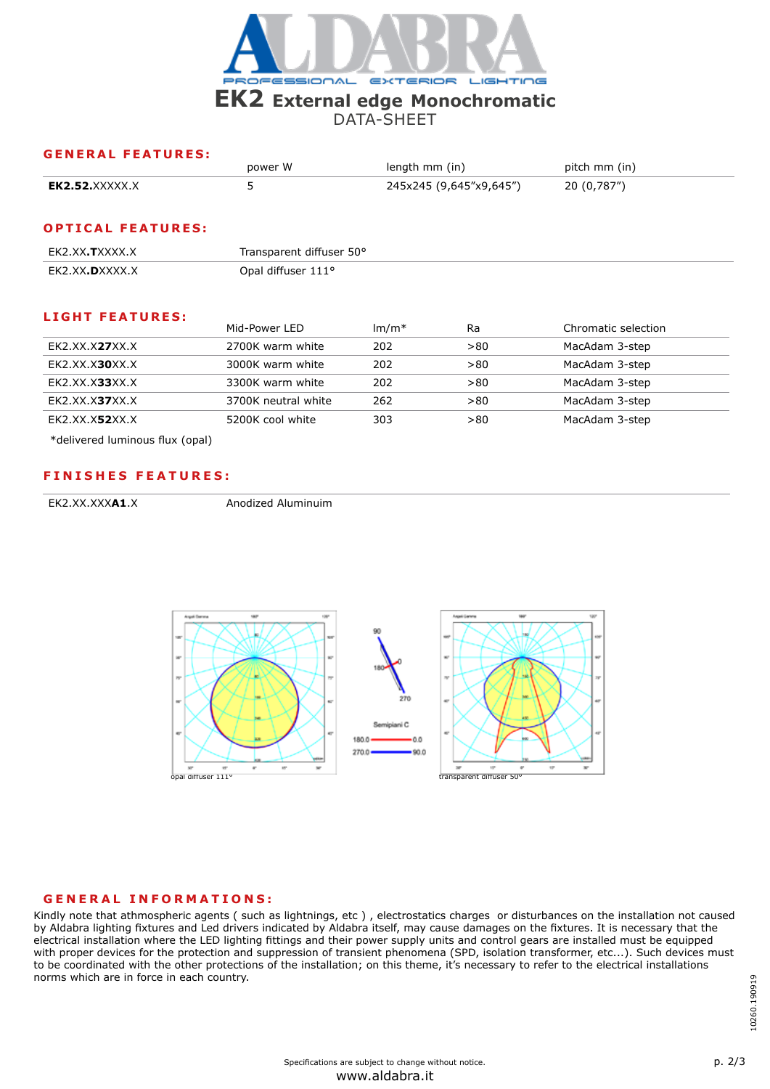

|                        | power W | length mm (in)          | pitch mm (in) |
|------------------------|---------|-------------------------|---------------|
| <b>EK2.52.</b> XXXXX.X |         | 245x245 (9,645"x9,645") | 20 (0,787")   |

### **OPTICAL FEATURES:**

| FK2 XX TXXXX X | Transparent diffuser 50° |
|----------------|--------------------------|
| FK2 XX DXXXX X | Opal diffuser 111°       |

### **LIGHT FEATURES:**

|                | Mid-Power LED       | $\text{Im}/\text{m}^*$ | Ra   | Chromatic selection |  |
|----------------|---------------------|------------------------|------|---------------------|--|
| EK2.XX.X27XX.X | 2700K warm white    | 202                    | > 80 | MacAdam 3-step      |  |
| EK2.XX.X30XX.X | 3000K warm white    | 202                    | > 80 | MacAdam 3-step      |  |
| EK2.XX.X33XX.X | 3300K warm white    | 202                    | > 80 | MacAdam 3-step      |  |
| EK2.XX.X37XX.X | 3700K neutral white | 262                    | > 80 | MacAdam 3-step      |  |
| EK2.XX.X52XX.X | 5200K cool white    | 303                    | > 80 | MacAdam 3-step      |  |
|                |                     |                        |      |                     |  |

\*delivered luminous flux (opal)

### **FINISHES FEATURES:**

EK2.XX.XXXA1.X Anodized Aluminuim



### **GENERAL INFORMATIONS:**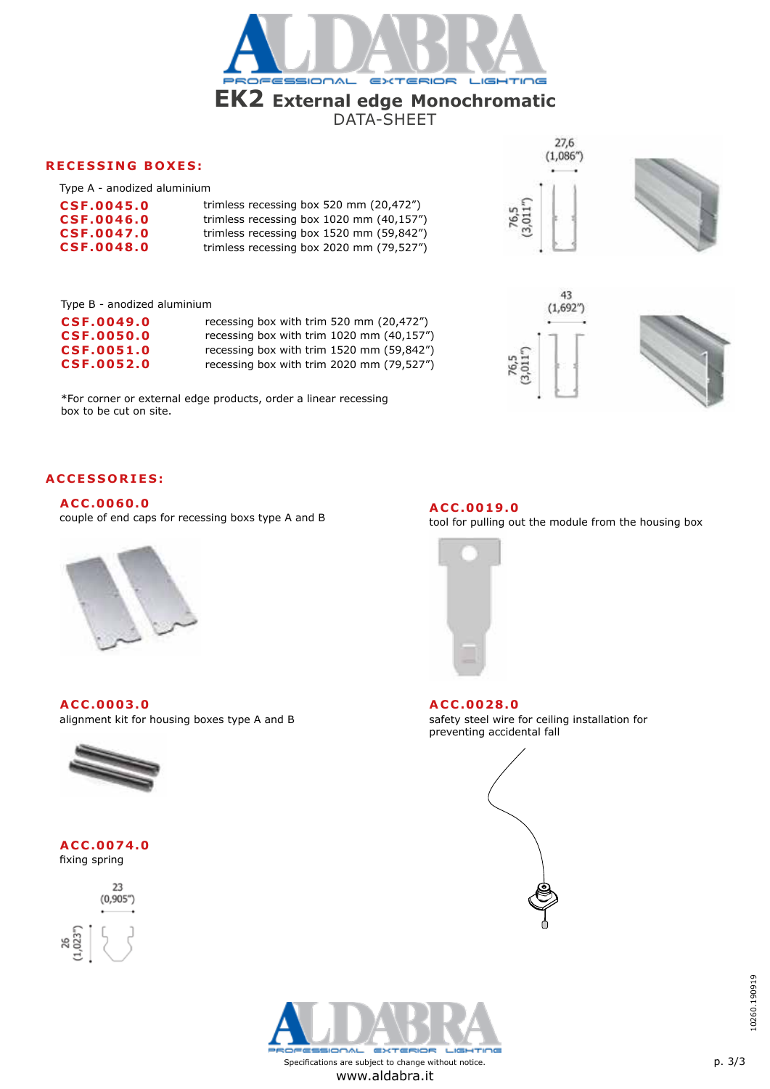

Type A - anodized aluminium

| <b>CSF.0045.0</b> | trimless recessing box 520 mm (20,472")  |
|-------------------|------------------------------------------|
| CSF.0046.0        | trimless recessing box 1020 mm (40,157") |
| CSF.0047.0        | trimless recessing box 1520 mm (59,842") |
| <b>CSF.0048.0</b> | trimless recessing box 2020 mm (79,527") |





Type B - anodized aluminium

| CSF.0049.0        | recessing box with trim 520 mm (20,472")  |
|-------------------|-------------------------------------------|
| <b>CSF.0050.0</b> | recessing box with trim 1020 mm (40,157") |
| CSF.0051.0        | recessing box with trim 1520 mm (59,842") |
| CSF.0052.0        | recessing box with trim 2020 mm (79,527") |

\*For corner or external edge products, order a linear recessing box to be cut on site.





### **ACCESSORIES:**

**ACC.0060.0**

couple of end caps for recessing boxs type A and B



### **ACC.0003.0**

alignment kit for housing boxes type A and B



#### **ACC.0074.0** fixing spring



**ACC.0019.0**





**ACC.0028.0** safety steel wire for ceiling installation for preventing accidental fall





Specifications are subject to change without notice. www.aldabra.it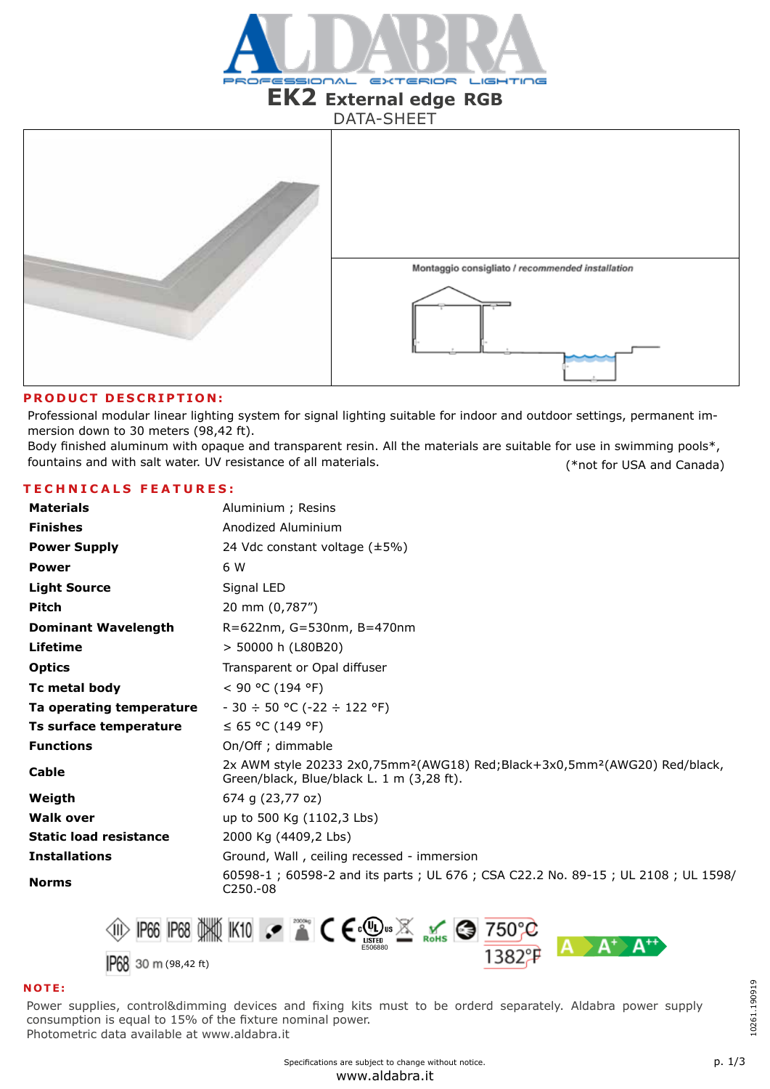

## DATA-SHEET



### **PRODUCT DESCRIPTION:**

Professional modular linear lighting system for signal lighting suitable for indoor and outdoor settings, permanent immersion down to 30 meters (98,42 ft).

Body finished aluminum with opaque and transparent resin. All the materials are suitable for use in swimming pools\*, fountains and with salt water. UV resistance of all materials. (\*not for USA and Canada)

### **TECHNICALS FEATURES:**

| <b>Materials</b>              | Aluminium ; Resins                                                                                                                              |
|-------------------------------|-------------------------------------------------------------------------------------------------------------------------------------------------|
| <b>Finishes</b>               | Anodized Aluminium                                                                                                                              |
| <b>Power Supply</b>           | 24 Vdc constant voltage (±5%)                                                                                                                   |
| <b>Power</b>                  | 6 W                                                                                                                                             |
| <b>Light Source</b>           | Signal LED                                                                                                                                      |
| <b>Pitch</b>                  | 20 mm (0,787")                                                                                                                                  |
| <b>Dominant Wavelength</b>    | R=622nm, G=530nm, B=470nm                                                                                                                       |
| <b>Lifetime</b>               | > 50000 h (L80B20)                                                                                                                              |
| <b>Optics</b>                 | Transparent or Opal diffuser                                                                                                                    |
| Tc metal body                 | < 90 °C (194 °F)                                                                                                                                |
| Ta operating temperature      | $-30 \div 50$ °C (-22 $\div 122$ °F)                                                                                                            |
| Ts surface temperature        | ≤ 65 °C (149 °F)                                                                                                                                |
| <b>Functions</b>              | On/Off; dimmable                                                                                                                                |
| Cable                         | 2x AWM style 20233 2x0,75mm <sup>2</sup> (AWG18) Red;Black+3x0,5mm <sup>2</sup> (AWG20) Red/black,<br>Green/black, Blue/black L. 1 m (3,28 ft). |
| Weigth                        | 674 g (23,77 oz)                                                                                                                                |
| <b>Walk over</b>              | up to 500 Kg (1102,3 Lbs)                                                                                                                       |
| <b>Static load resistance</b> | 2000 Kg (4409,2 Lbs)                                                                                                                            |
| <b>Installations</b>          | Ground, Wall, ceiling recessed - immersion                                                                                                      |
| <b>Norms</b>                  | 60598-1; 60598-2 and its parts; UL 676; CSA C22.2 No. 89-15; UL 2108; UL 1598/<br>$C250.-08$                                                    |
|                               |                                                                                                                                                 |



### **NOTE:**

Power supplies, control&dimming devices and fixing kits must to be orderd separately. Aldabra power supply consumption is equal to 15% of the fixture nominal power. Photometric data available at www.aldabra.it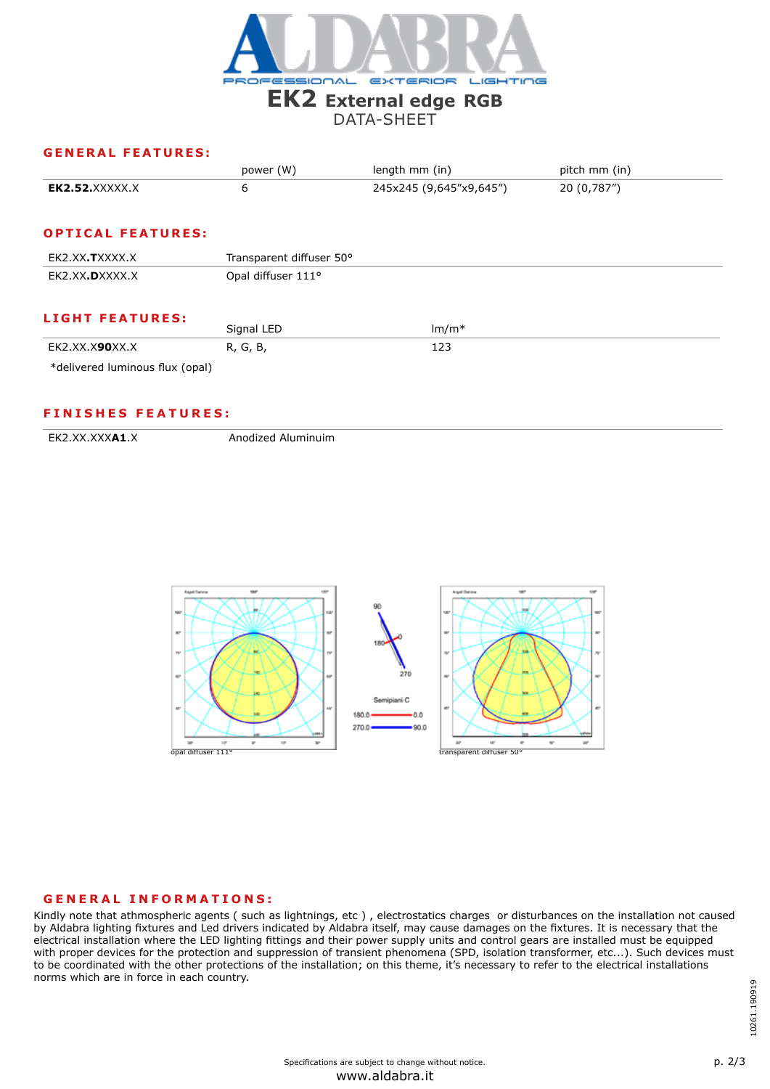

|                                 | power (W)                | length mm (in)          | pitch mm (in) |
|---------------------------------|--------------------------|-------------------------|---------------|
| <b>EK2.52.XXXXX.X</b>           | 6                        | 245x245 (9,645"x9,645") | 20 (0,787")   |
| <b>OPTICAL FEATURES:</b>        |                          |                         |               |
| EK2.XX.TXXXX.X                  | Transparent diffuser 50° |                         |               |
| EK2.XX.DXXXX.X                  | Opal diffuser 111°       |                         |               |
| <b>LIGHT FEATURES:</b>          | Signal LED               | $lm/m*$                 |               |
| EK2.XX.X90XX.X                  | R, G, B,                 | 123                     |               |
| *delivered luminous flux (opal) |                          |                         |               |

### **FINISHES FEATURES:**

EK2.XX.XXXA1.X Anodized Aluminuim



### **GENERAL INFORMATIONS:**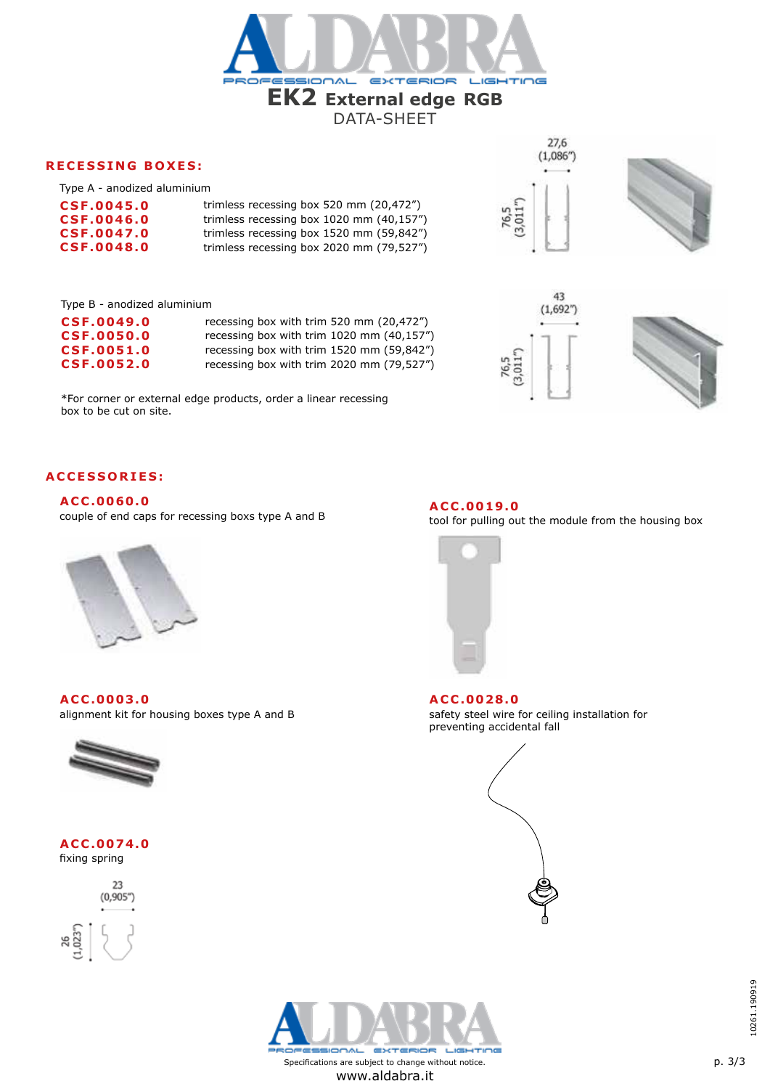

Type A - anodized aluminium

| CSF.0045.0 | trimless recessing box 520 mm (20,472")  |
|------------|------------------------------------------|
| CSF.0046.0 | trimless recessing box 1020 mm (40,157") |
| CSF.0047.0 | trimless recessing box 1520 mm (59,842") |
| CSF.0048.0 | trimless recessing box 2020 mm (79,527") |

Type B - anodized aluminium

| Type D - anouized alumnuum |                                           |
|----------------------------|-------------------------------------------|
| <b>CSF.0049.0</b>          | recessing box with trim 520 mm (20,472")  |
| <b>CSF.0050.0</b>          | recessing box with trim 1020 mm (40,157") |
| <b>CSF.0051.0</b>          | recessing box with trim 1520 mm (59,842") |
| <b>CSF.0052.0</b>          | recessing box with trim 2020 mm (79,527") |

\*For corner or external edge products, order a linear recessing box to be cut on site.







tool for pulling out the module from the housing box



### **ACCESSORIES:**

### **ACC.0060.0**

couple of end caps for recessing boxs type A and B



**ACC.0003.0**

alignment kit for housing boxes type A and B



### **ACC.0074.0** fixing spring



**ACC.0028.0** safety steel wire for ceiling installation for preventing accidental fall





Specifications are subject to change without notice. www.aldabra.it



**ACC.0019.0**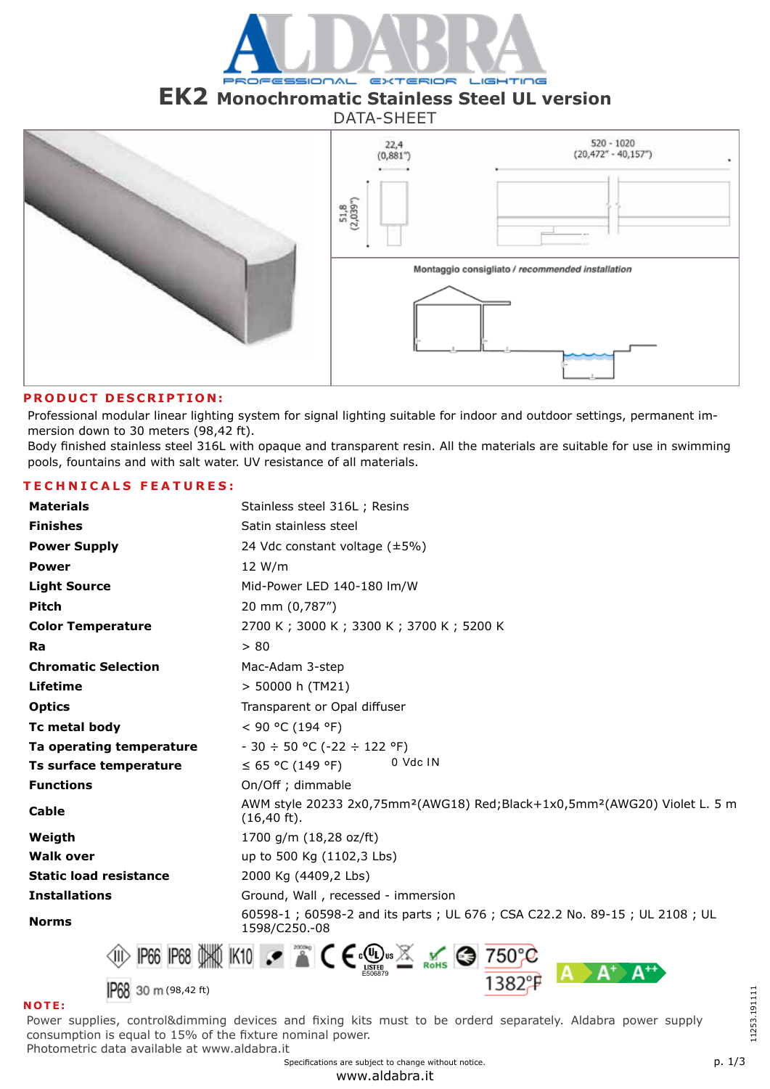

### **EK2 Monochromatic Stainless Steel UL version** DATA-SHEET



### **PRODUCT DESCRIPTION:**

Professional modular linear lighting system for signal lighting suitable for indoor and outdoor settings, permanent immersion down to 30 meters (98,42 ft).

Body finished stainless steel 316L with opaque and transparent resin. All the materials are suitable for use in swimming pools, fountains and with salt water. UV resistance of all materials.

### **TECHNICALS FEATURES:**

| <b>Materials</b>                | Stainless steel 316L; Resins                                                                                                 |  |  |
|---------------------------------|------------------------------------------------------------------------------------------------------------------------------|--|--|
| <b>Finishes</b>                 | Satin stainless steel                                                                                                        |  |  |
| <b>Power Supply</b>             | 24 Vdc constant voltage (±5%)                                                                                                |  |  |
| <b>Power</b>                    | 12 W/m                                                                                                                       |  |  |
| <b>Light Source</b>             | Mid-Power LED 140-180 lm/W                                                                                                   |  |  |
| <b>Pitch</b>                    | 20 mm (0,787")                                                                                                               |  |  |
| <b>Color Temperature</b>        | 2700 K; 3000 K; 3300 K; 3700 K; 5200 K                                                                                       |  |  |
| Ra                              | > 80                                                                                                                         |  |  |
| <b>Chromatic Selection</b>      | Mac-Adam 3-step                                                                                                              |  |  |
| Lifetime                        | > 50000 h (TM21)                                                                                                             |  |  |
| <b>Optics</b>                   | Transparent or Opal diffuser                                                                                                 |  |  |
| Tc metal body                   | < 90 °C (194 °F)                                                                                                             |  |  |
| Ta operating temperature        | $-30 \div 50$ °C (-22 $\div 122$ °F)                                                                                         |  |  |
| Ts surface temperature          | 0 Vdc IN<br>≤ 65 °C (149 °F)                                                                                                 |  |  |
| <b>Functions</b>                | On/Off; dimmable                                                                                                             |  |  |
| Cable                           | AWM style 20233 2x0,75mm <sup>2</sup> (AWG18) Red;Black+1x0,5mm <sup>2</sup> (AWG20) Violet L. 5 m<br>$(16, 40 \text{ ft}).$ |  |  |
| Weigth                          | 1700 g/m (18,28 oz/ft)                                                                                                       |  |  |
| <b>Walk over</b>                | up to 500 Kg (1102,3 Lbs)                                                                                                    |  |  |
| <b>Static load resistance</b>   | 2000 Kg (4409,2 Lbs)                                                                                                         |  |  |
| <b>Installations</b>            | Ground, Wall, recessed - immersion                                                                                           |  |  |
| <b>Norms</b>                    | 60598-1; 60598-2 and its parts; UL 676; CSA C22.2 No. 89-15; UL 2108; UL<br>1598/C250 .- 08                                  |  |  |
|                                 | <b>IP66 IP68 OXK IK10 : 2 2 C</b><br>ROHS <sup>C</sup>                                                                       |  |  |
| 30 m (98,42 ft)<br><b>NOTE:</b> | A<br>A<br>382                                                                                                                |  |  |

### Power supplies, control&dimming devices and fixing kits must to be orderd separately. Aldabra power supply consumption is equal to 15% of the fixture nominal power.

Photometric data available at www.aldabra.it

Specifications are subject to change without notice.

www.aldabra.it

11253.191111

11253.191111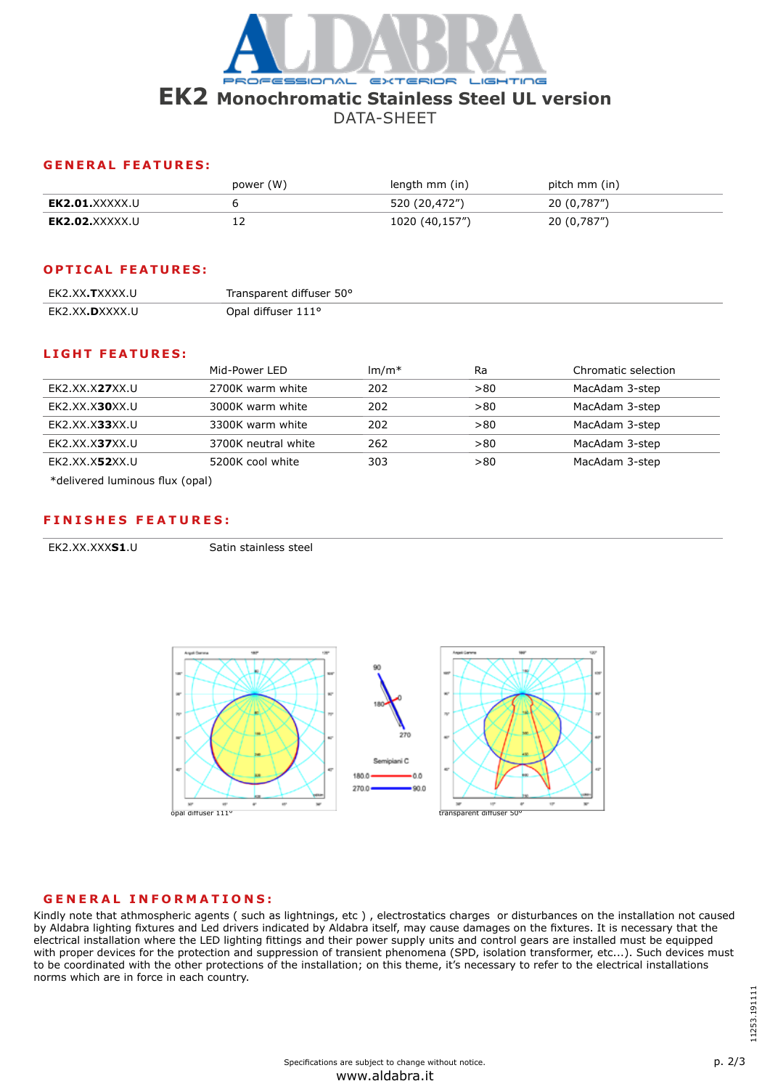

### DATA-SHEET

### **GENERAL FEATURES:**

|                | power (W) | length mm (in) | pitch mm (in) |
|----------------|-----------|----------------|---------------|
| EK2.01.XXXXX.U |           | 520 (20,472")  | 20 (0,787")   |
| EK2.02.XXXXX.U | ∸∸        | 1020 (40,157") | 20 (0,787")   |

### **OPTICAL FEATURES:**

| EK2.XX. <b>T</b> XXXX.U | Transparent diffuser 50° |
|-------------------------|--------------------------|
| EK2.XX <b>.D</b> XXXX.U | Opal diffuser 111°       |

### **LIGHT FEATURES:**

|                | Mid-Power LED       | $Im/m*$ | Ra   | Chromatic selection |
|----------------|---------------------|---------|------|---------------------|
| EK2.XX.X27XX.U | 2700K warm white    | 202     | > 80 | MacAdam 3-step      |
| EK2.XX.X30XX.U | 3000K warm white    | 202     | > 80 | MacAdam 3-step      |
| EK2.XX.X33XX.U | 3300K warm white    | 202     | > 80 | MacAdam 3-step      |
| EK2.XX.X37XX.U | 3700K neutral white | 262     | > 80 | MacAdam 3-step      |
| EK2.XX.X52XX.U | 5200K cool white    | 303     | >80  | MacAdam 3-step      |
|                |                     |         |      |                     |

\*delivered luminous flux (opal)

### **FINISHES FEATURES:**

EK2.XX.XXX**S1**.U Satin stainless steel



### **GENERAL INFORMATIONS:**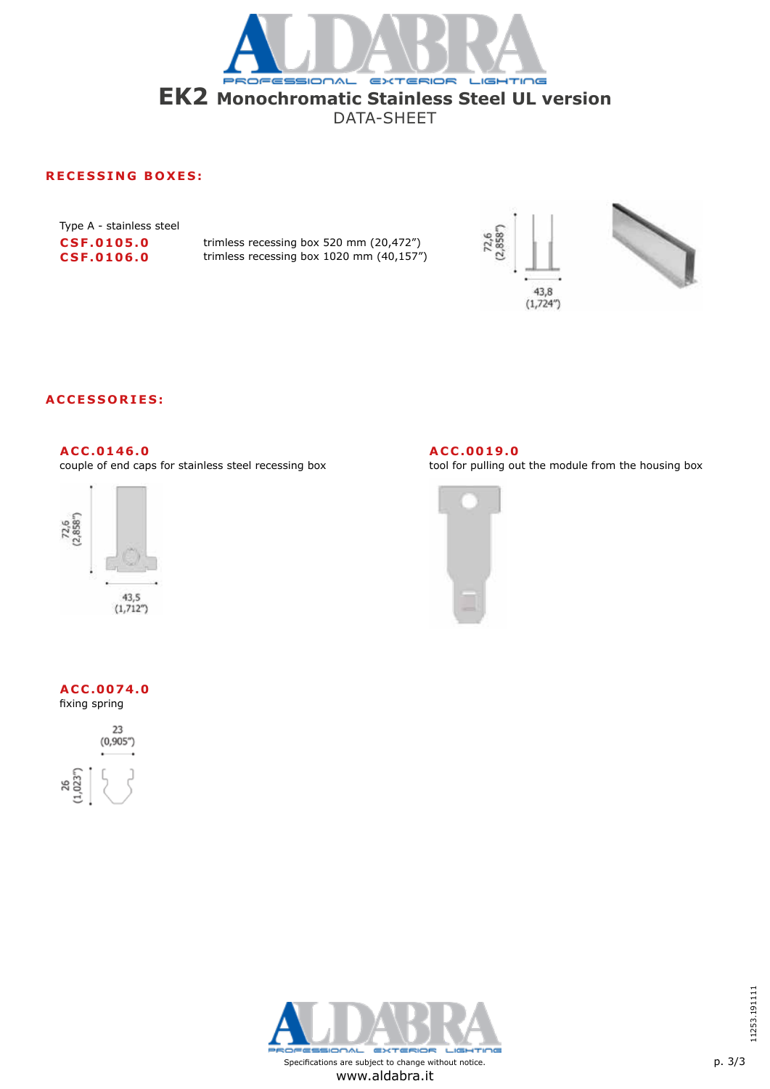

**CSF.0105.0 CSF.0106.0** Type A - stainless steel

trimless recessing box 520 mm (20,472") trimless recessing box 1020 mm (40,157")



### **ACCESSORIES:**

**ACC.0146.0**

couple of end caps for stainless steel recessing box



### **ACC.0074.0**

fixing spring





tool for pulling out the module from the housing box





Specifications are subject to change without notice. www.aldabra.it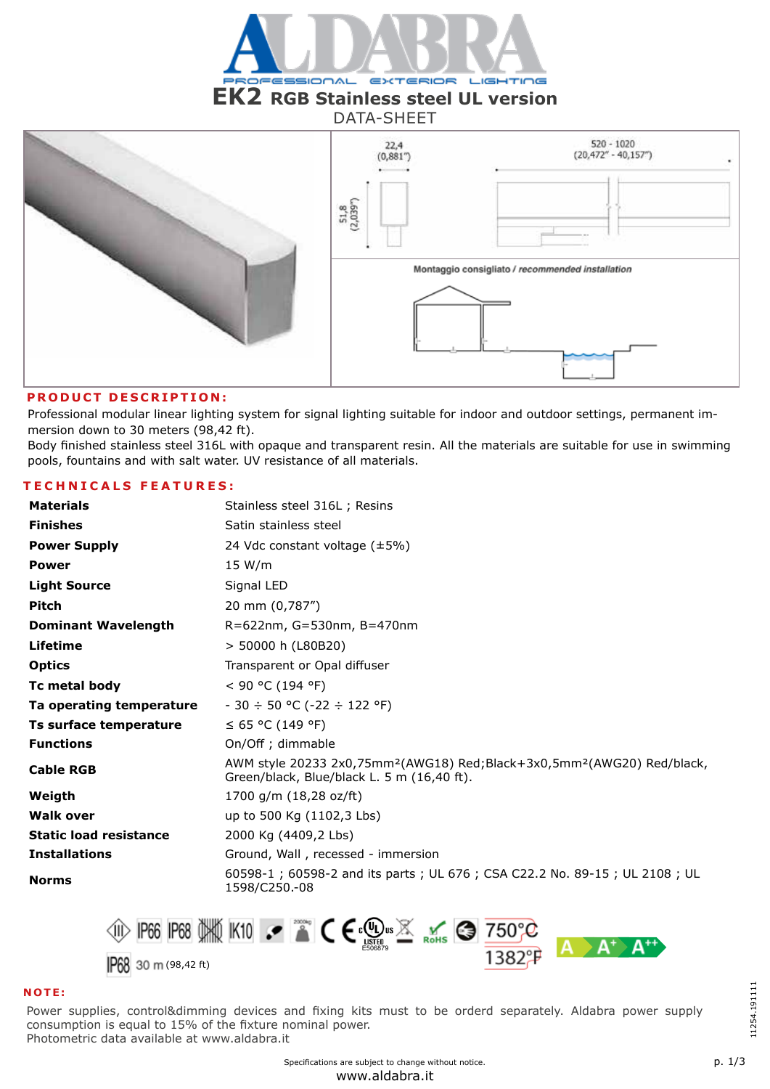

# **EK2 RGB Stainless steel UL version**

### DATA-SHEET



### **PRODUCT DESCRIPTION:**

Professional modular linear lighting system for signal lighting suitable for indoor and outdoor settings, permanent immersion down to 30 meters (98,42 ft).

Body finished stainless steel 316L with opaque and transparent resin. All the materials are suitable for use in swimming pools, fountains and with salt water. UV resistance of all materials.

### **TECHNICALS FEATURES:**

| <b>Materials</b>              | Stainless steel 316L; Resins                                                                                                                  |  |  |
|-------------------------------|-----------------------------------------------------------------------------------------------------------------------------------------------|--|--|
| <b>Finishes</b>               | Satin stainless steel                                                                                                                         |  |  |
| <b>Power Supply</b>           | 24 Vdc constant voltage $(\pm 5\%)$                                                                                                           |  |  |
| <b>Power</b>                  | 15 W/m                                                                                                                                        |  |  |
| <b>Light Source</b>           | Signal LED                                                                                                                                    |  |  |
| <b>Pitch</b>                  | 20 mm (0,787")                                                                                                                                |  |  |
| <b>Dominant Wavelength</b>    | $R = 622$ nm, G=530nm, B=470nm                                                                                                                |  |  |
| Lifetime                      | > 50000 h (L80B20)                                                                                                                            |  |  |
| <b>Optics</b>                 | Transparent or Opal diffuser                                                                                                                  |  |  |
| Tc metal body                 | < 90 °C (194 °F)                                                                                                                              |  |  |
| Ta operating temperature      | $-30 \div 50$ °C (-22 $\div 122$ °F)                                                                                                          |  |  |
| Ts surface temperature        | ≤ 65 °C (149 °F)                                                                                                                              |  |  |
| <b>Functions</b>              | On/Off; dimmable                                                                                                                              |  |  |
| Cable RGB                     | AWM style 20233 2x0,75mm <sup>2</sup> (AWG18) Red;Black+3x0,5mm <sup>2</sup> (AWG20) Red/black,<br>Green/black, Blue/black L. 5 m (16,40 ft). |  |  |
| Weigth                        | 1700 g/m (18,28 oz/ft)                                                                                                                        |  |  |
| <b>Walk over</b>              | up to 500 Kg (1102,3 Lbs)                                                                                                                     |  |  |
| <b>Static load resistance</b> | 2000 Kg (4409,2 Lbs)                                                                                                                          |  |  |
| <b>Installations</b>          | Ground, Wall, recessed - immersion                                                                                                            |  |  |
| <b>Norms</b>                  | 60598-1; 60598-2 and its parts; UL 676; CSA C22.2 No. 89-15; UL 2108; UL<br>1598/C250.-08                                                     |  |  |



### **NOTE:**

Power supplies, control&dimming devices and fixing kits must to be orderd separately. Aldabra power supply consumption is equal to 15% of the fixture nominal power. Photometric data available at www.aldabra.it

11254.191111

11254.191111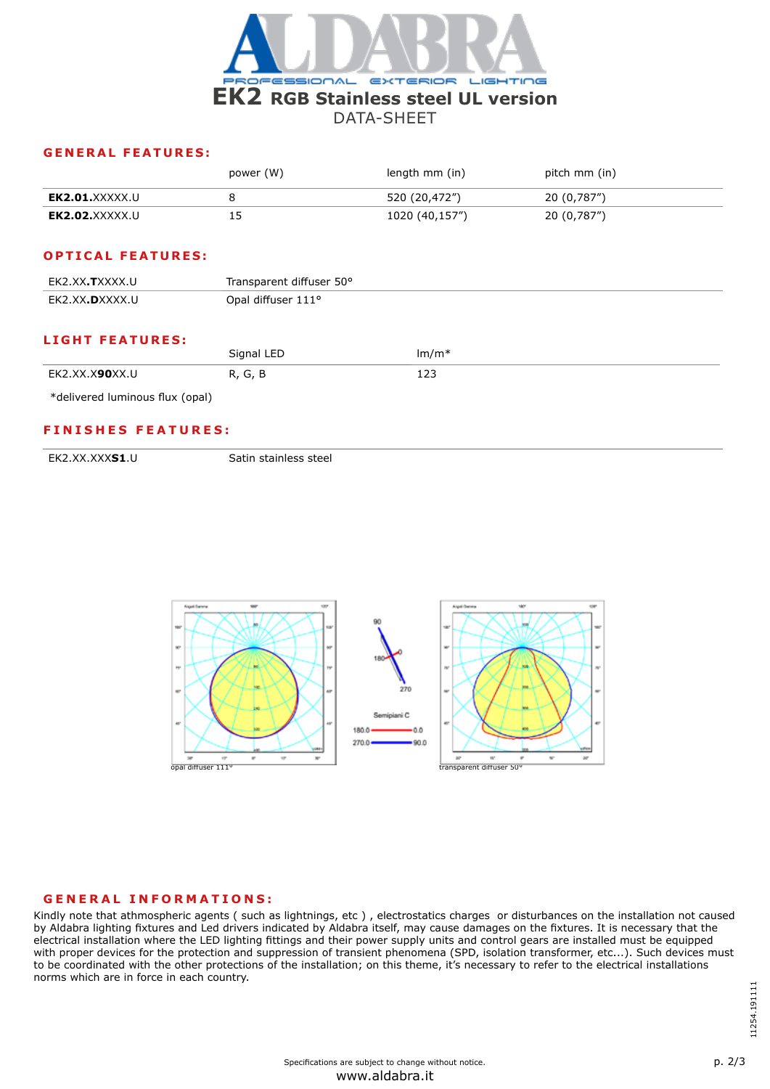

|                | power (W) | length mm (in) | pitch mm (in) |
|----------------|-----------|----------------|---------------|
| EK2.01.XXXXX.U |           | 520 (20,472″)  | 20 (0,787")   |
| EK2.02.XXXXX.U |           | 1020 (40,157") | 20 (0,787″)   |

### **OPTICAL FEATURES:**

| EK2.XX <b>.T</b> XXXX.U | Transparent diffuser 50° |
|-------------------------|--------------------------|
| EK2.XX <b>.D</b> XXXX.U | Opal diffuser 111°       |
|                         |                          |

### **LIGHT FEATURES:**

|                | Signal LED                      | $.1cm*$<br>17 I I I<br> |
|----------------|---------------------------------|-------------------------|
| EK2.XX.X90XX.U | Ð<br>G<br>- 12<br>ь<br>π.<br>ັ. | כר ו<br>دعد             |

\*delivered luminous flux (opal)

### **FINISHES FEATURES:**

EK2.XX.XXXS1.U Satin stainless steel



### **GENERAL INFORMATIONS:**